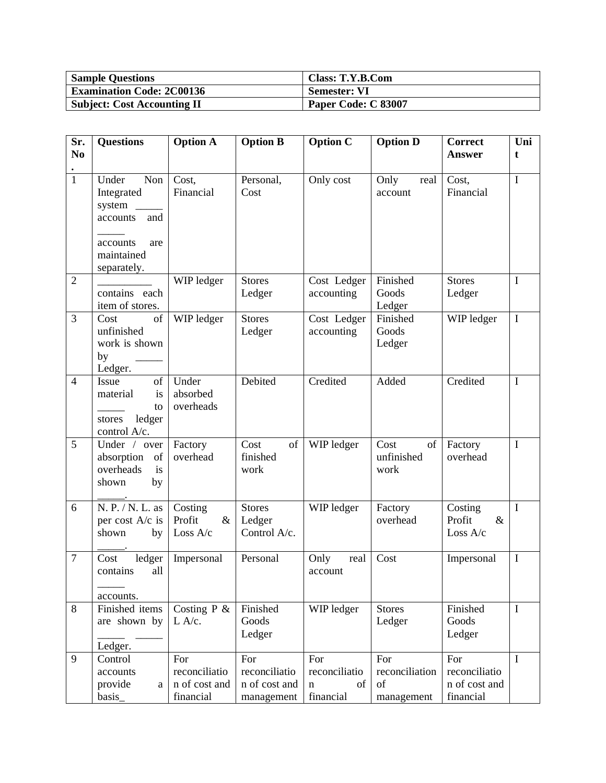| <b>Sample Questions</b>            | Class: T.Y.B.Com    |
|------------------------------------|---------------------|
| <b>Examination Code: 2C00136</b>   | Semester: VI        |
| <b>Subject: Cost Accounting II</b> | Paper Code: C 83007 |

| Sr.            | <b>Questions</b>                                                                                        | <b>Option A</b>                                    | <b>Option B</b>                                     | <b>Option C</b>                              | <b>Option D</b>                           | Correct                                            | Uni         |
|----------------|---------------------------------------------------------------------------------------------------------|----------------------------------------------------|-----------------------------------------------------|----------------------------------------------|-------------------------------------------|----------------------------------------------------|-------------|
| N <sub>0</sub> |                                                                                                         |                                                    |                                                     |                                              |                                           | <b>Answer</b>                                      | t           |
| $\mathbf{1}$   | Under<br>Non<br>Integrated<br>system<br>and<br>accounts<br>accounts<br>are<br>maintained<br>separately. | Cost,<br>Financial                                 | Personal,<br>Cost                                   | Only cost                                    | Only<br>real<br>account                   | Cost,<br>Financial                                 | $\mathbf I$ |
| $\overline{2}$ | contains each<br>item of stores.                                                                        | WIP ledger                                         | <b>Stores</b><br>Ledger                             | Cost Ledger<br>accounting                    | Finished<br>Goods<br>Ledger               | <b>Stores</b><br>Ledger                            | I           |
| 3              | of<br>Cost<br>unfinished<br>work is shown<br>by<br>Ledger.                                              | WIP ledger                                         | <b>Stores</b><br>Ledger                             | Cost Ledger<br>accounting                    | Finished<br>Goods<br>Ledger               | WIP ledger                                         | $\mathbf I$ |
| $\overline{4}$ | of<br>Issue<br>material<br>is<br>to<br>ledger<br>stores<br>control A/c.                                 | Under<br>absorbed<br>overheads                     | Debited                                             | Credited                                     | Added                                     | Credited                                           | $\mathbf I$ |
| 5              | Under / over<br>of<br>absorption<br>overheads<br>is<br>by<br>shown                                      | Factory<br>overhead                                | Cost<br>of<br>finished<br>work                      | WIP ledger                                   | of<br>Cost<br>unfinished<br>work          | Factory<br>overhead                                | $\mathbf I$ |
| 6              | N. P. / N. L. as<br>per cost A/c is<br>shown<br>by                                                      | Costing<br>Profit<br>$\&$<br>Loss A/c              | <b>Stores</b><br>Ledger<br>Control A/c.             | WIP ledger                                   | Factory<br>overhead                       | Costing<br>Profit<br>$\&$<br>Loss A/c              | I           |
| $\overline{7}$ | ledger<br>Cost<br>all<br>contains<br>accounts.                                                          | Impersonal                                         | Personal                                            | Only<br>real<br>account                      | Cost                                      | Impersonal                                         | $\mathbf I$ |
| $8\,$          | Finished items<br>are shown by<br>Ledger.                                                               | Costing $P \&$<br>L A/c.                           | Finished<br>Goods<br>Ledger                         | WIP ledger                                   | <b>Stores</b><br>Ledger                   | Finished<br>Goods<br>Ledger                        | $\mathbf I$ |
| 9              | Control<br>accounts<br>provide<br>a<br>basis_                                                           | For<br>reconciliatio<br>n of cost and<br>financial | For<br>reconciliatio<br>n of cost and<br>management | For<br>reconciliatio<br>of<br>n<br>financial | For<br>reconciliation<br>of<br>management | For<br>reconciliatio<br>n of cost and<br>financial | $\mathbf I$ |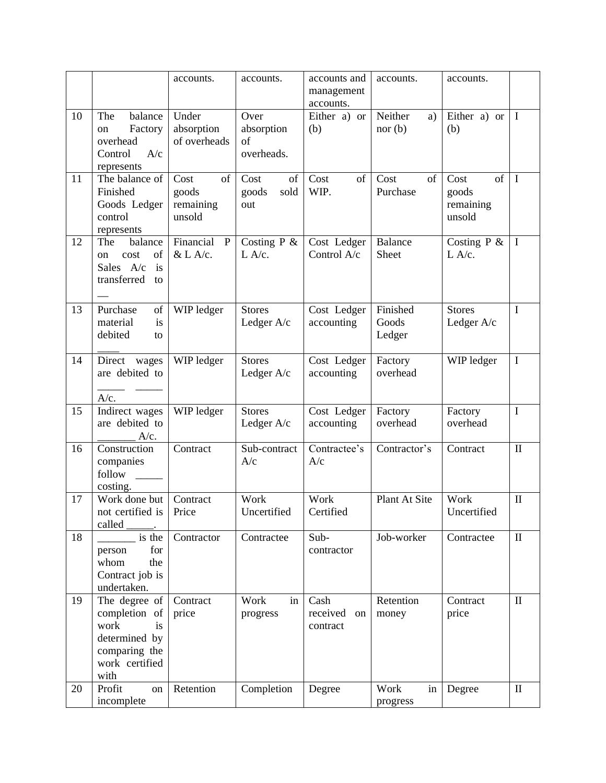|    |                                | accounts.         | accounts.      | accounts and     | accounts.      | accounts.         |              |
|----|--------------------------------|-------------------|----------------|------------------|----------------|-------------------|--------------|
|    |                                |                   |                | management       |                |                   |              |
|    |                                |                   |                | accounts.        |                |                   |              |
| 10 | The<br>balance                 | Under             | Over           | Either a) or     | Neither<br>a)  | Either a) or      | $\mathbf{I}$ |
|    | Factory<br>on                  | absorption        | absorption     | (b)              | nor (b)        | (b)               |              |
|    | overhead                       | of overheads      | of             |                  |                |                   |              |
|    | Control<br>A/c                 |                   | overheads.     |                  |                |                   |              |
| 11 | represents<br>The balance of   | Cost<br>of        | Cost<br>of     | Cost<br>of       | Cost<br>of     | of<br>Cost        | $\mathbf{I}$ |
|    | Finished                       | goods             | sold<br>goods  | WIP.             | Purchase       | goods             |              |
|    | Goods Ledger                   | remaining         | out            |                  |                | remaining         |              |
|    | control                        | unsold            |                |                  |                | unsold            |              |
|    | represents                     |                   |                |                  |                |                   |              |
| 12 | balance<br>The                 | Financial<br>P    | Costing $P \&$ | Cost Ledger      | <b>Balance</b> | Costing P &       | $\mathbf{I}$ |
|    | of<br>cost<br>on               | &L A/c.           | L A/c.         | Control A/c      | Sheet          | L A/c.            |              |
|    | Sales A/c<br>is                |                   |                |                  |                |                   |              |
|    | transferred<br>to              |                   |                |                  |                |                   |              |
|    |                                |                   |                |                  |                |                   |              |
| 13 | Purchase<br>of                 | WIP ledger        | <b>Stores</b>  | Cost Ledger      | Finished       | <b>Stores</b>     | I            |
|    | material<br>is                 |                   | Ledger A/c     | accounting       | Goods          | Ledger A/c        |              |
|    | debited<br>to                  |                   |                |                  | Ledger         |                   |              |
|    |                                |                   |                |                  |                |                   |              |
| 14 | Direct wages                   | WIP ledger        | <b>Stores</b>  | Cost Ledger      | Factory        | WIP ledger        | $\mathbf I$  |
|    | are debited to                 |                   | Ledger A/c     | accounting       | overhead       |                   |              |
|    |                                |                   |                |                  |                |                   |              |
|    | $A/c$ .                        |                   |                |                  |                |                   |              |
| 15 | Indirect wages                 | WIP ledger        | <b>Stores</b>  | Cost Ledger      | Factory        | Factory           | $\mathbf I$  |
|    | are debited to<br>$A/c$ .      |                   | Ledger A/c     | accounting       | overhead       | overhead          |              |
| 16 | Construction                   | Contract          | Sub-contract   | Contractee's     | Contractor's   | Contract          | $\rm II$     |
|    | companies                      |                   | A/c            | A/c              |                |                   |              |
|    | follow                         |                   |                |                  |                |                   |              |
|    | costing.                       |                   |                |                  |                |                   |              |
| 17 | Work done but                  | Contract          | Work           | Work             | Plant At Site  | Work              | $\mathbf{I}$ |
|    | not certified is   Price       |                   | Uncertified    | Certified        |                | Uncertified       |              |
|    | called                         |                   |                |                  |                |                   |              |
| 18 | is the                         | Contractor        | Contractee     | Sub-             | Job-worker     | Contractee        | $\mathbf{I}$ |
|    | for<br>person                  |                   |                | contractor       |                |                   |              |
|    | whom<br>the                    |                   |                |                  |                |                   |              |
|    | Contract job is                |                   |                |                  |                |                   |              |
|    | undertaken.                    |                   |                |                  |                |                   |              |
| 19 | The degree of<br>completion of | Contract<br>price | Work<br>in     | Cash<br>received | Retention      | Contract<br>price | $\mathbf{I}$ |
|    | work<br>is                     |                   | progress       | on<br>contract   | money          |                   |              |
|    | determined by                  |                   |                |                  |                |                   |              |
|    | comparing the                  |                   |                |                  |                |                   |              |
|    | work certified                 |                   |                |                  |                |                   |              |
|    | with                           |                   |                |                  |                |                   |              |
| 20 | Profit<br>on                   | Retention         | Completion     | Degree           | Work<br>in     | Degree            | $\mathbf{I}$ |
|    | incomplete                     |                   |                |                  | progress       |                   |              |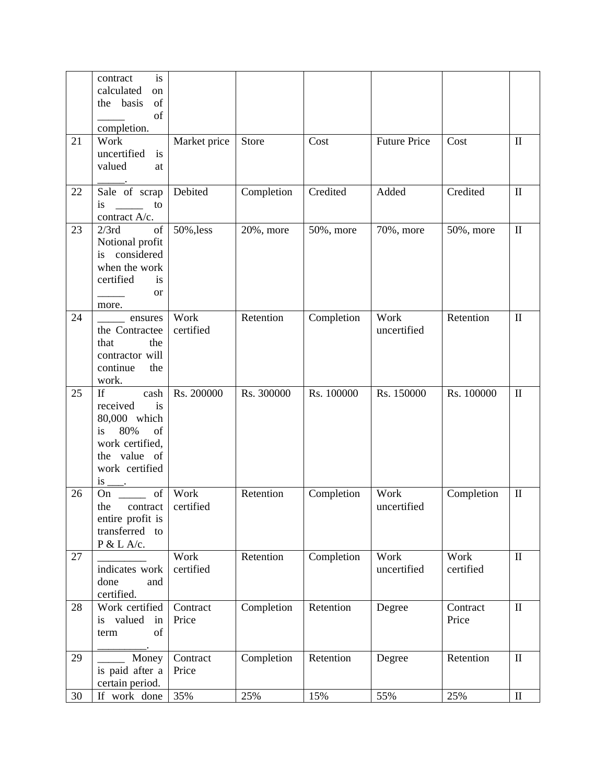|    | is<br>contract<br>calculated<br>on<br>of<br>the basis<br>of<br>completion.                                                 |                   |            |            |                     |                   |              |
|----|----------------------------------------------------------------------------------------------------------------------------|-------------------|------------|------------|---------------------|-------------------|--------------|
| 21 | Work<br>uncertified<br>is<br>valued<br>at                                                                                  | Market price      | Store      | Cost       | <b>Future Price</b> | Cost              | $\mathbf{I}$ |
| 22 | Sale of scrap<br>is<br>to<br>contract A/c.                                                                                 | Debited           | Completion | Credited   | Added               | Credited          | $\mathbf{I}$ |
| 23 | of<br>2/3rd<br>Notional profit<br>considered<br>is<br>when the work<br>certified<br>is<br><b>or</b><br>more.               | 50%, less         | 20%, more  | 50%, more  | 70%, more           | 50%, more         | $\mathbf{I}$ |
| 24 | ensures<br>the Contractee<br>the<br>that<br>contractor will<br>continue<br>the<br>work.                                    | Work<br>certified | Retention  | Completion | Work<br>uncertified | Retention         | $\mathbf{I}$ |
| 25 | If<br>cash<br>is<br>received<br>80,000 which<br>80%<br>of<br>is<br>work certified,<br>the value of<br>work certified<br>is | Rs. 200000        | Rs. 300000 | Rs. 100000 | Rs. 150000          | Rs. 100000        | $\mathbf{I}$ |
| 26 | of<br>On<br>the<br>contract<br>entire profit is<br>transferred to<br>P & L A/c.                                            | Work<br>certified | Retention  | Completion | Work<br>uncertified | Completion        | $\mathbf{I}$ |
| 27 | indicates work<br>done<br>and<br>certified.                                                                                | Work<br>certified | Retention  | Completion | Work<br>uncertified | Work<br>certified | $\rm II$     |
| 28 | Work certified<br>is valued in<br>of<br>term                                                                               | Contract<br>Price | Completion | Retention  | Degree              | Contract<br>Price | $\rm II$     |
| 29 | Money<br>is paid after a<br>certain period.                                                                                | Contract<br>Price | Completion | Retention  | Degree              | Retention         | $\mathbf{I}$ |
| 30 | If work done                                                                                                               | 35%               | 25%        | 15%        | 55%                 | 25%               | $\rm II$     |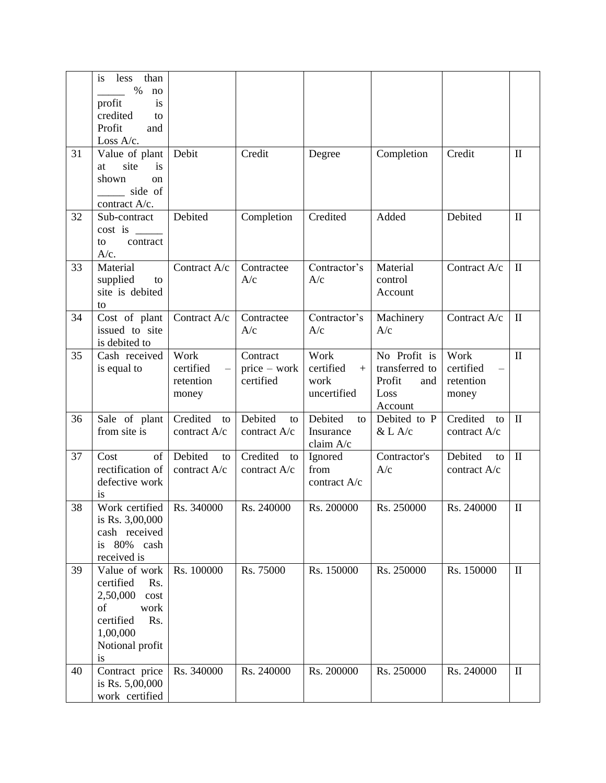|    | than<br>is<br>less<br>$\%$<br>no<br>profit<br>is<br>credited<br>to<br>Profit<br>and<br>Loss A/c.                             |                                         |                                         |                                                 |                                                                    |                                         |              |
|----|------------------------------------------------------------------------------------------------------------------------------|-----------------------------------------|-----------------------------------------|-------------------------------------------------|--------------------------------------------------------------------|-----------------------------------------|--------------|
| 31 | Value of plant<br>is<br>site<br>at<br>shown<br>on<br>side of<br>contract A/c.                                                | Debit                                   | Credit                                  | Degree                                          | Completion                                                         | Credit                                  | $\mathbf{I}$ |
| 32 | Sub-contract<br>cost is<br>contract<br>to<br>A/c.                                                                            | Debited                                 | Completion                              | Credited                                        | Added                                                              | Debited                                 | $\mathbf{I}$ |
| 33 | Material<br>supplied<br>to<br>site is debited<br>to                                                                          | Contract A/c                            | Contractee<br>A/c                       | Contractor's<br>A/c                             | Material<br>control<br>Account                                     | Contract A/c                            | $\mathbf{I}$ |
| 34 | Cost of plant<br>issued to site<br>is debited to                                                                             | Contract A/c                            | Contractee<br>A/c                       | Contractor's<br>A/c                             | Machinery<br>A/c                                                   | Contract A/c                            | $\mathbf{I}$ |
| 35 | Cash received<br>is equal to                                                                                                 | Work<br>certified<br>retention<br>money | Contract<br>$price - work$<br>certified | Work<br>certified<br>$+$<br>work<br>uncertified | No Profit is<br>transferred to<br>Profit<br>and<br>Loss<br>Account | Work<br>certified<br>retention<br>money | $\mathbf{I}$ |
| 36 | Sale of plant<br>from site is                                                                                                | Credited<br>to<br>contract A/c          | Debited<br>to<br>contract A/c           | Debited<br>to<br>Insurance<br>claim A/c         | Debited to P<br>$&$ L A/c                                          | Credited<br>to<br>contract A/c          | $\mathbf{I}$ |
| 37 | Cost<br>of<br>rectification of<br>defective work<br>is                                                                       | Debited<br>to<br>contract A/c           | Credited<br>to<br>contract A/c          | Ignored<br>from<br>contract A/c                 | Contractor's<br>A/c                                                | Debited<br>to<br>contract A/c           | $\rm II$     |
| 38 | Work certified<br>is Rs. 3,00,000<br>cash received<br>is 80% cash<br>received is                                             | Rs. 340000                              | Rs. 240000                              | Rs. 200000                                      | Rs. 250000                                                         | Rs. 240000                              | $\mathbf{I}$ |
| 39 | Value of work<br>certified<br>Rs.<br>2,50,000<br>cost<br>of<br>work<br>certified<br>Rs.<br>1,00,000<br>Notional profit<br>is | Rs. 100000                              | Rs. 75000                               | Rs. 150000                                      | Rs. 250000                                                         | Rs. 150000                              | $\mathbf{I}$ |
| 40 | Contract price<br>is Rs. 5,00,000<br>work certified                                                                          | Rs. 340000                              | Rs. 240000                              | Rs. 200000                                      | Rs. 250000                                                         | Rs. 240000                              | $\mathbf{I}$ |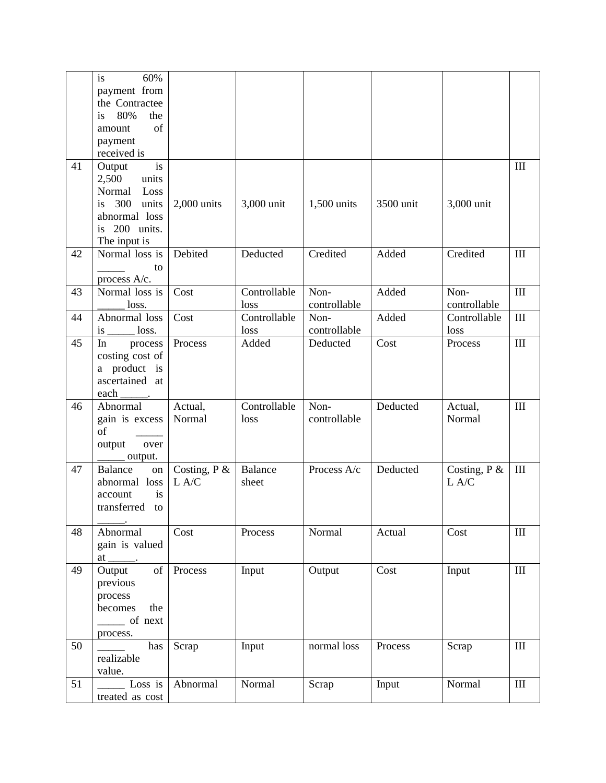|    | is<br>60%                                                                                                    |                |                |              |           |                |                    |
|----|--------------------------------------------------------------------------------------------------------------|----------------|----------------|--------------|-----------|----------------|--------------------|
|    | payment from                                                                                                 |                |                |              |           |                |                    |
|    | the Contractee                                                                                               |                |                |              |           |                |                    |
|    | 80%<br>the<br>is                                                                                             |                |                |              |           |                |                    |
|    | of<br>amount                                                                                                 |                |                |              |           |                |                    |
|    | payment                                                                                                      |                |                |              |           |                |                    |
|    | received is                                                                                                  |                |                |              |           |                |                    |
| 41 | is<br>Output                                                                                                 |                |                |              |           |                | $\mathop{\rm III}$ |
|    | 2,500<br>units                                                                                               |                |                |              |           |                |                    |
|    | Normal<br>Loss                                                                                               |                |                |              |           |                |                    |
|    | 300<br>is<br>units                                                                                           | $2,000$ units  | 3,000 unit     | 1,500 units  | 3500 unit | 3,000 unit     |                    |
|    | abnormal loss                                                                                                |                |                |              |           |                |                    |
|    | is 200 units.                                                                                                |                |                |              |           |                |                    |
|    | The input is                                                                                                 |                |                |              |           |                |                    |
| 42 | Normal loss is                                                                                               | Debited        | Deducted       | Credited     | Added     | Credited       | $\rm III$          |
|    | to                                                                                                           |                |                |              |           |                |                    |
|    | process A/c.                                                                                                 |                |                |              |           |                |                    |
| 43 | Normal loss is                                                                                               | Cost           | Controllable   | Non-         | Added     | Non-           | $\rm III$          |
|    | loss.                                                                                                        |                | loss           | controllable |           | controllable   |                    |
| 44 | Abnormal loss                                                                                                | Cost           | Controllable   | Non-         | Added     | Controllable   | III                |
|    | loss.<br>is                                                                                                  |                | loss           | controllable |           | loss           |                    |
| 45 | In<br>process                                                                                                | Process        | Added          | Deducted     | Cost      | Process        | $\rm III$          |
|    | costing cost of                                                                                              |                |                |              |           |                |                    |
|    | a product is                                                                                                 |                |                |              |           |                |                    |
|    | ascertained at                                                                                               |                |                |              |           |                |                    |
|    | each                                                                                                         |                |                |              |           |                |                    |
| 46 | Abnormal                                                                                                     | Actual,        | Controllable   | Non-         | Deducted  | Actual,        | III                |
|    | gain is excess                                                                                               | Normal         | loss           | controllable |           | Normal         |                    |
|    | of                                                                                                           |                |                |              |           |                |                    |
|    | output<br>over                                                                                               |                |                |              |           |                |                    |
|    | output.                                                                                                      |                |                |              |           |                |                    |
| 47 | <b>Balance</b><br>${\bf on}$                                                                                 | Costing, $P$ & | <b>Balance</b> | Process A/c  | Deducted  | Costing, $P$ & | $\rm III$          |
|    | abnormal loss                                                                                                | L A/C          | sheet          |              |           | L A/C          |                    |
|    | is<br>account                                                                                                |                |                |              |           |                |                    |
|    | transferred<br>to                                                                                            |                |                |              |           |                |                    |
|    |                                                                                                              |                |                |              |           |                |                    |
| 48 | Abnormal                                                                                                     | Cost           | Process        | Normal       | Actual    | Cost           | $\rm III$          |
|    | gain is valued                                                                                               |                |                |              |           |                |                    |
|    | $at_$<br>$\overline{\phantom{a}}$                                                                            |                |                |              |           |                |                    |
| 49 | $% \left( \left( \mathcal{A},\mathcal{A}\right) \right) =\left( \mathcal{A},\mathcal{A}\right)$ of<br>Output | Process        | Input          | Output       | Cost      | Input          | $\rm III$          |
|    | previous                                                                                                     |                |                |              |           |                |                    |
|    | process                                                                                                      |                |                |              |           |                |                    |
|    | becomes<br>the                                                                                               |                |                |              |           |                |                    |
|    | $\frac{1}{\sqrt{1-x}}$ of next                                                                               |                |                |              |           |                |                    |
|    | process.                                                                                                     |                |                |              |           |                |                    |
| 50 | has                                                                                                          | Scrap          | Input          | normal loss  | Process   | Scrap          | $\rm III$          |
|    | realizable                                                                                                   |                |                |              |           |                |                    |
|    | value.                                                                                                       |                |                |              |           |                |                    |
| 51 | Loss is                                                                                                      | Abnormal       | Normal         | Scrap        | Input     | Normal         | $\rm III$          |
|    | treated as cost                                                                                              |                |                |              |           |                |                    |
|    |                                                                                                              |                |                |              |           |                |                    |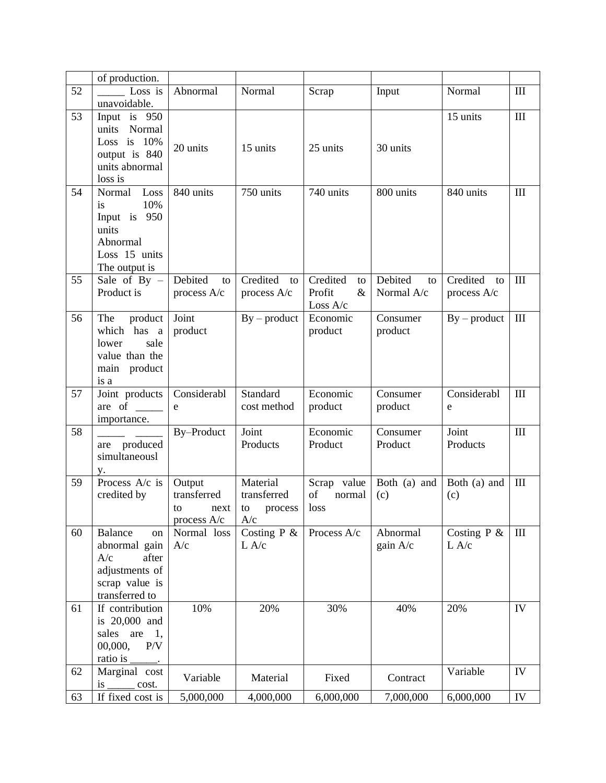|    | of production.                  |               |                |                |               |                |                    |
|----|---------------------------------|---------------|----------------|----------------|---------------|----------------|--------------------|
| 52 | Loss is                         | Abnormal      | Normal         | Scrap          | Input         | Normal         | III                |
|    | unavoidable.                    |               |                |                |               |                |                    |
| 53 | Input is 950                    |               |                |                |               | 15 units       | III                |
|    | Normal<br>units                 |               |                |                |               |                |                    |
|    | Loss is $10%$                   |               |                |                |               |                |                    |
|    | output is 840                   | 20 units      | 15 units       | 25 units       | 30 units      |                |                    |
|    | units abnormal                  |               |                |                |               |                |                    |
|    | loss is                         |               |                |                |               |                |                    |
| 54 | Loss<br>Normal                  | 840 units     | 750 units      | 740 units      | 800 units     | 840 units      | $\mathop{\rm III}$ |
|    | 10%<br>is                       |               |                |                |               |                |                    |
|    | Input is 950                    |               |                |                |               |                |                    |
|    | units                           |               |                |                |               |                |                    |
|    | Abnormal                        |               |                |                |               |                |                    |
|    | Loss 15 units                   |               |                |                |               |                |                    |
|    | The output is                   |               |                |                |               |                |                    |
| 55 | Sale of By $-$                  | Debited<br>to | Credited<br>to | Credited<br>to | Debited<br>to | Credited<br>to | $\mathop{\rm III}$ |
|    | Product is                      | process A/c   | process A/c    | Profit<br>$\&$ | Normal A/c    | process A/c    |                    |
|    |                                 |               |                | Loss A/c       |               |                |                    |
| 56 | The<br>product                  | Joint         | $By - product$ | Economic       | Consumer      | $By - product$ | $\rm III$          |
|    | which has a                     | product       |                | product        | product       |                |                    |
|    | sale<br>lower                   |               |                |                |               |                |                    |
|    | value than the                  |               |                |                |               |                |                    |
|    |                                 |               |                |                |               |                |                    |
|    | main product                    |               |                |                |               |                |                    |
|    | is a                            |               |                |                |               |                |                    |
|    |                                 |               |                |                |               |                |                    |
| 57 | Joint products                  | Considerabl   | Standard       | Economic       | Consumer      | Considerabl    | $\mathop{\rm III}$ |
|    | are of $\qquad$                 | e             | cost method    | product        | product       | e              |                    |
|    | importance.                     |               |                |                |               |                |                    |
| 58 |                                 | By-Product    | Joint          | Economic       | Consumer      | Joint          | III                |
|    | are produced                    |               | Products       | Product        | Product       | Products       |                    |
|    | simultaneousl                   |               |                |                |               |                |                    |
|    | y.                              |               |                |                |               |                |                    |
| 59 | Process A/c is                  | Output        | Material       | Scrap value    | Both (a) and  | Both (a) and   | III                |
|    | credited by                     | transferred   | transferred    | of<br>normal   | (c)           | (c)            |                    |
|    |                                 | to<br>next    | process<br>to  | loss           |               |                |                    |
|    |                                 | process A/c   | A/c            |                |               |                |                    |
| 60 | Balance<br>on                   | Normal loss   | Costing $P \&$ | Process A/c    | Abnormal      | Costing $P$ &  | $\mathop{\rm III}$ |
|    | abnormal gain                   | A/c           | L A/c          |                | gain A/c      | L A/c          |                    |
|    | A/c<br>after                    |               |                |                |               |                |                    |
|    | adjustments of                  |               |                |                |               |                |                    |
|    | scrap value is                  |               |                |                |               |                |                    |
|    | transferred to                  |               |                |                |               |                |                    |
| 61 | If contribution                 | 10%           | 20%            | 30%            | 40%           | 20%            | IV                 |
|    | is 20,000 and                   |               |                |                |               |                |                    |
|    | sales are<br>1,                 |               |                |                |               |                |                    |
|    | 00,000,<br>P/V                  |               |                |                |               |                |                    |
|    | ratio is                        |               |                |                |               |                |                    |
| 62 | Marginal cost                   | Variable      | Material       | Fixed          | Contract      | Variable       | IV                 |
| 63 | is<br>cost.<br>If fixed cost is | 5,000,000     | 4,000,000      | 6,000,000      | 7,000,000     | 6,000,000      | IV                 |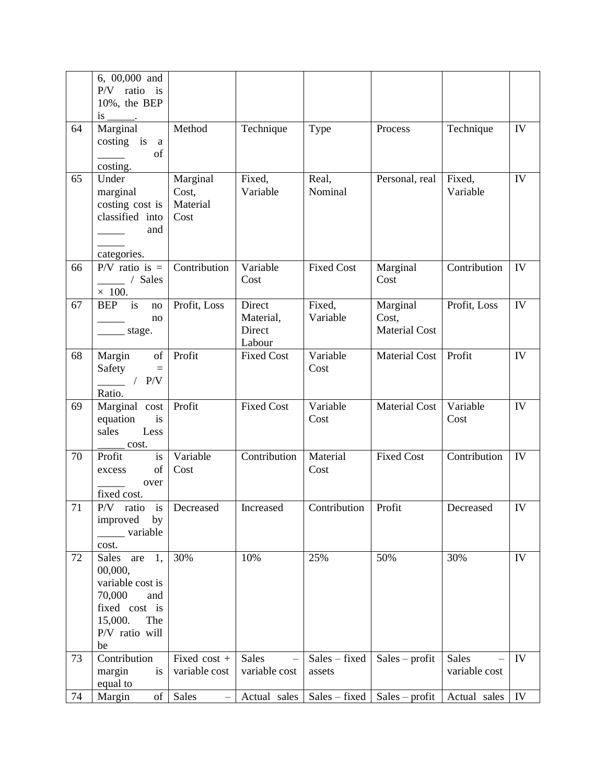|    | 6, 00,000 and<br>P/V ratio is                                                                                                 |                                       |                                         |                         |                                           |                        |    |
|----|-------------------------------------------------------------------------------------------------------------------------------|---------------------------------------|-----------------------------------------|-------------------------|-------------------------------------------|------------------------|----|
|    | 10%, the BEP<br>is $\frac{1}{\sqrt{1-\frac{1}{2}}$                                                                            |                                       |                                         |                         |                                           |                        |    |
| 64 | Marginal<br>costing is a<br>of<br>costing.                                                                                    | Method                                | Technique                               | Type                    | Process                                   | Technique              | IV |
| 65 | Under<br>marginal<br>costing cost is<br>classified into<br>and<br>categories.                                                 | Marginal<br>Cost,<br>Material<br>Cost | Fixed,<br>Variable                      | Real,<br>Nominal        | Personal, real                            | Fixed,<br>Variable     | IV |
| 66 | $P/V$ ratio is =<br>/ Sales<br>$\times$ 100.                                                                                  | Contribution                          | Variable<br>Cost                        | <b>Fixed Cost</b>       | Marginal<br>Cost                          | Contribution           | IV |
| 67 | is<br><b>BEP</b><br>no<br>no<br>stage.                                                                                        | Profit, Loss                          | Direct<br>Material,<br>Direct<br>Labour | Fixed,<br>Variable      | Marginal<br>Cost,<br><b>Material Cost</b> | Profit, Loss           | IV |
| 68 | Margin<br>of<br>Safety<br>$\equiv$<br>/ $P/V$<br>$\sim$ $\sim$<br>Ratio.                                                      | Profit                                | <b>Fixed Cost</b>                       | Variable<br>Cost        | <b>Material Cost</b>                      | Profit                 | IV |
| 69 | Marginal cost<br>is<br>equation<br>Less<br>sales<br>cost.                                                                     | Profit                                | <b>Fixed Cost</b>                       | Variable<br>Cost        | <b>Material Cost</b>                      | Variable<br>Cost       | IV |
| 70 | Profit<br>is<br>of<br>excess<br>over<br>fixed cost.                                                                           | Variable<br>Cost                      | Contribution                            | Material<br>Cost        | <b>Fixed Cost</b>                         | Contribution           | IV |
| 71 | i <sub>s</sub><br>$P/V$ ratio<br>improved<br>by<br>________ variable<br>cost.                                                 | Decreased                             | Increased                               | Contribution            | Profit                                    | Decreased              | IV |
| 72 | 1,<br>Sales<br>are<br>00,000,<br>variable cost is<br>70,000<br>and<br>fixed cost is<br>15,000.<br>The<br>P/V ratio will<br>be | 30%                                   | 10%                                     | 25%                     | 50%                                       | 30%                    | IV |
| 73 | Contribution<br>margin<br>is<br>equal to                                                                                      | Fixed cost +<br>variable cost         | <b>Sales</b><br>variable cost           | Sales - fixed<br>assets | $Sales - profit$                          | Sales<br>variable cost | IV |
| 74 | Margin<br>of                                                                                                                  | Sales<br>$\overline{\phantom{0}}$     | Actual sales                            | Sales – fixed           | $Sales - profit$                          | Actual sales           | IV |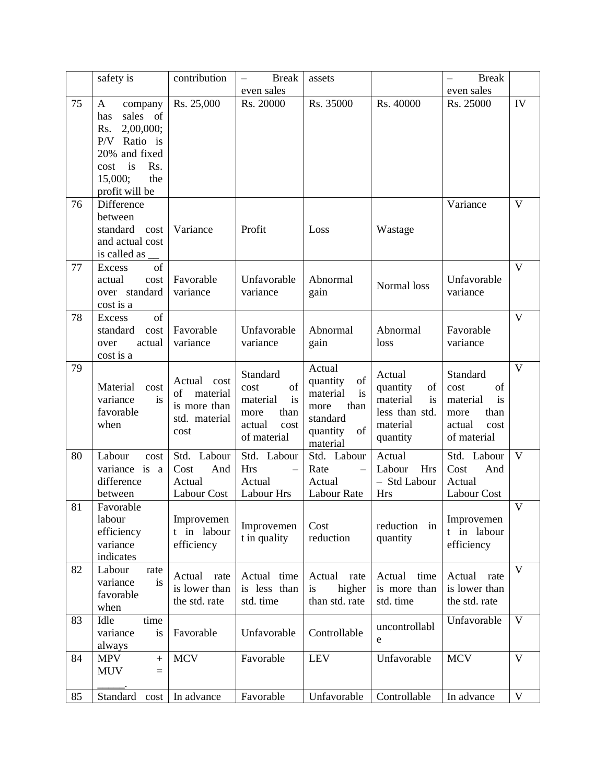|    | safety is                                                                                                                                        | contribution                                                              | <b>Break</b>                                                                              | assets                                                                                                                                                                                               |                                                                                      | <b>Break</b><br>$\overline{\phantom{0}}$                                                  |                         |
|----|--------------------------------------------------------------------------------------------------------------------------------------------------|---------------------------------------------------------------------------|-------------------------------------------------------------------------------------------|------------------------------------------------------------------------------------------------------------------------------------------------------------------------------------------------------|--------------------------------------------------------------------------------------|-------------------------------------------------------------------------------------------|-------------------------|
|    |                                                                                                                                                  |                                                                           | even sales                                                                                |                                                                                                                                                                                                      |                                                                                      | even sales                                                                                |                         |
| 75 | company<br>A<br>sales of<br>has<br>2,00,000;<br>Rs.<br>Ratio is<br>P/V<br>20% and fixed<br>is<br>Rs.<br>cost<br>15,000;<br>the<br>profit will be | Rs. 25,000                                                                | Rs. 20000                                                                                 | Rs. 35000                                                                                                                                                                                            | Rs. 40000                                                                            | Rs. 25000                                                                                 | IV                      |
| 76 | Difference<br>between<br>standard<br>cost<br>and actual cost<br>is called as                                                                     | Variance                                                                  | Profit                                                                                    | Loss                                                                                                                                                                                                 | Wastage                                                                              | Variance                                                                                  | $\mathbf{V}$            |
| 77 | of<br>Excess<br>actual<br>cost<br>over standard<br>cost is a                                                                                     | Favorable<br>variance                                                     | Unfavorable<br>variance                                                                   | Abnormal<br>gain                                                                                                                                                                                     | Normal loss                                                                          | Unfavorable<br>variance                                                                   | $\mathbf{V}$            |
| 78 | of<br>Excess<br>standard<br>cost<br>over<br>actual<br>cost is a                                                                                  | Favorable<br>variance                                                     | Unfavorable<br>variance                                                                   | Abnormal<br>gain                                                                                                                                                                                     | Abnormal<br>loss                                                                     | Favorable<br>variance                                                                     | $\overline{\mathbf{V}}$ |
| 79 | Material<br>cost<br>variance<br>is<br>favorable<br>when                                                                                          | Actual<br>cost<br>of<br>material<br>is more than<br>std. material<br>cost | Standard<br>of<br>cost<br>is<br>material<br>than<br>more<br>actual<br>cost<br>of material | Actual<br>$% \left( \left( \mathcal{A},\mathcal{A}\right) \right) =\left( \mathcal{A},\mathcal{A}\right)$ of<br>quantity<br>material<br>is<br>than<br>more<br>standard<br>of<br>quantity<br>material | Actual<br>quantity<br>of<br>material<br>is<br>less than std.<br>material<br>quantity | Standard<br>cost<br>of<br>is<br>material<br>than<br>more<br>actual<br>cost<br>of material | $\mathbf{V}$            |
| 80 | Labour<br>cost<br>variance is a<br>difference<br>between                                                                                         | Labour<br>Std.<br>Cost<br>And<br>Actual<br>Labour Cost                    | Std. Labour<br><b>Hrs</b><br>Actual<br>Labour Hrs                                         | Std. Labour<br>Rate<br>$\overline{\phantom{0}}$<br>Actual<br><b>Labour Rate</b>                                                                                                                      | Actual<br>Labour<br><b>Hrs</b><br>- Std Labour<br><b>Hrs</b>                         | Std. Labour<br>And<br>Cost<br>Actual<br>Labour Cost                                       | $\mathbf{V}$            |
| 81 | Favorable<br>labour<br>efficiency<br>variance<br>indicates                                                                                       | Improvemen<br>t in labour<br>efficiency                                   | Improvemen<br>t in quality                                                                | Cost<br>reduction                                                                                                                                                                                    | reduction in<br>quantity                                                             | Improvemen<br>t in labour<br>efficiency                                                   | $\mathbf V$             |
| 82 | Labour<br>rate<br>variance<br>is<br>favorable<br>when                                                                                            | Actual rate<br>is lower than<br>the std. rate                             | Actual time<br>is less than<br>std. time                                                  | Actual<br>rate<br>higher<br>is<br>than std. rate                                                                                                                                                     | Actual<br>time<br>is more than<br>std. time                                          | Actual<br>rate<br>is lower than<br>the std. rate                                          | $\mathbf{V}$            |
| 83 | Idle<br>time<br>variance<br>is<br>always                                                                                                         | Favorable                                                                 | Unfavorable                                                                               | Controllable                                                                                                                                                                                         | uncontrollabl<br>e                                                                   | Unfavorable                                                                               | $\mathbf{V}$            |
| 84 | <b>MPV</b><br>$\ddot{}$<br><b>MUV</b><br>$=$                                                                                                     | <b>MCV</b>                                                                | Favorable                                                                                 | <b>LEV</b>                                                                                                                                                                                           | Unfavorable                                                                          | <b>MCV</b>                                                                                | V                       |
| 85 | Standard<br>cost                                                                                                                                 | In advance                                                                | Favorable                                                                                 | Unfavorable                                                                                                                                                                                          | Controllable                                                                         | In advance                                                                                | V                       |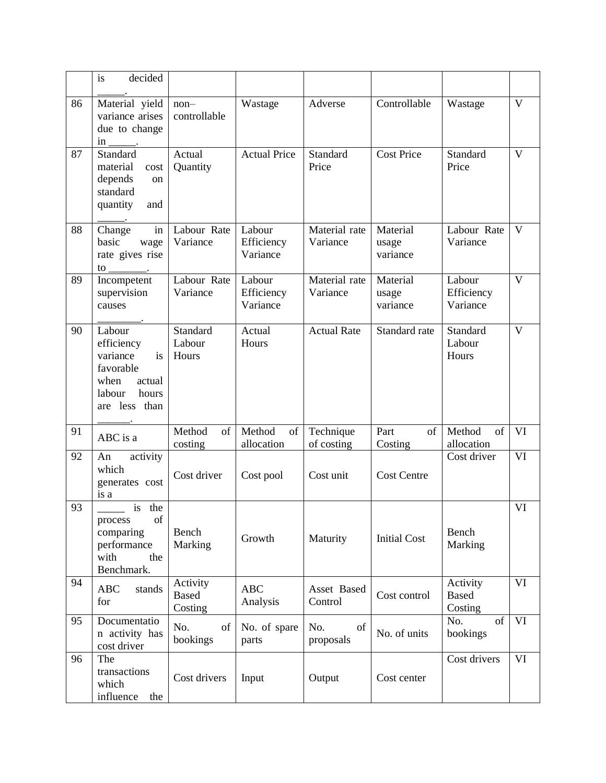|    | decided<br>is                                                                                             |                                     |                                  |                           |                               |                                     |              |
|----|-----------------------------------------------------------------------------------------------------------|-------------------------------------|----------------------------------|---------------------------|-------------------------------|-------------------------------------|--------------|
| 86 | Material yield<br>variance arises<br>due to change<br>$\frac{\text{in}}{\text{max}}$ .                    | $non-$<br>controllable              | Wastage                          | Adverse                   | Controllable                  | Wastage                             | $\mathbf{V}$ |
| 87 | Standard<br>material<br>cost<br>depends<br><sub>on</sub><br>standard<br>quantity<br>and                   | Actual<br>Quantity                  | <b>Actual Price</b>              | Standard<br>Price         | <b>Cost Price</b>             | Standard<br>Price                   | $\mathbf{V}$ |
| 88 | in<br>Change<br>basic<br>wage<br>rate gives rise<br>to                                                    | Labour Rate<br>Variance             | Labour<br>Efficiency<br>Variance | Material rate<br>Variance | Material<br>usage<br>variance | Labour Rate<br>Variance             | $\mathbf{V}$ |
| 89 | Incompetent<br>supervision<br>causes                                                                      | Labour Rate<br>Variance             | Labour<br>Efficiency<br>Variance | Material rate<br>Variance | Material<br>usage<br>variance | Labour<br>Efficiency<br>Variance    | $\mathbf{V}$ |
| 90 | Labour<br>efficiency<br>variance<br>is<br>favorable<br>when<br>actual<br>hours<br>labour<br>are less than | Standard<br>Labour<br>Hours         | Actual<br>Hours                  | <b>Actual Rate</b>        | Standard rate                 | Standard<br>Labour<br>Hours         | $\mathbf{V}$ |
| 91 | ABC is a                                                                                                  | Method<br>of<br>costing             | Method<br>of<br>allocation       | Technique<br>of costing   | Part<br>of<br>Costing         | Method<br>of<br>allocation          | VI           |
| 92 | activity<br>An<br>which<br>generates cost<br>is a                                                         | Cost driver                         | Cost pool                        | Cost unit                 | <b>Cost Centre</b>            | Cost driver                         | VI           |
| 93 | is the<br>of<br>process<br>comparing<br>performance<br>with<br>the<br>Benchmark.                          | Bench<br>Marking                    | Growth                           | Maturity                  | <b>Initial Cost</b>           | Bench<br>Marking                    | VI           |
| 94 | <b>ABC</b><br>stands<br>for                                                                               | Activity<br><b>Based</b><br>Costing | <b>ABC</b><br>Analysis           | Asset Based<br>Control    | Cost control                  | Activity<br><b>Based</b><br>Costing | VI           |
| 95 | Documentatio<br>n activity has<br>cost driver                                                             | No.<br>of<br>bookings               | No. of spare<br>parts            | No.<br>of<br>proposals    | No. of units                  | of<br>No.<br>bookings               | VI           |
| 96 | The<br>transactions<br>which<br>influence<br>the                                                          | Cost drivers                        | Input                            | Output                    | Cost center                   | Cost drivers                        | VI           |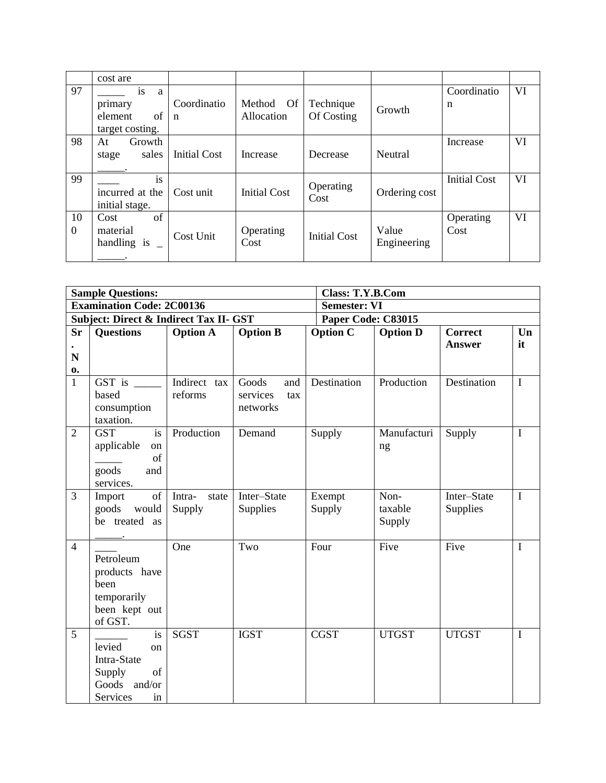|                | cost are                                               |                            |                                   |                         |                      |                     |    |
|----------------|--------------------------------------------------------|----------------------------|-----------------------------------|-------------------------|----------------------|---------------------|----|
| 97             | is<br>a<br>primary<br>of<br>element<br>target costing. | Coordinatio<br>$\mathbf n$ | <b>Of</b><br>Method<br>Allocation | Technique<br>Of Costing | Growth               | Coordinatio<br>n    | VI |
| 98             | Growth<br>At<br>sales<br>stage                         | <b>Initial Cost</b>        | Increase                          | Decrease                | Neutral              | Increase            | VI |
| 99             | is<br>incurred at the<br>initial stage.                | Cost unit                  | <b>Initial Cost</b>               | Operating<br>Cost       | Ordering cost        | <b>Initial Cost</b> | VI |
| 10<br>$\theta$ | of<br>Cost<br>material<br>handling is                  | Cost Unit                  | Operating<br>Cost                 | <b>Initial Cost</b>     | Value<br>Engineering | Operating<br>Cost   | VI |

|                | <b>Sample Questions:</b>                          |                 |                 | <b>Class: T.Y.B.Com</b> |                 |                |                        |
|----------------|---------------------------------------------------|-----------------|-----------------|-------------------------|-----------------|----------------|------------------------|
|                | <b>Examination Code: 2C00136</b>                  |                 |                 | <b>Semester: VI</b>     |                 |                |                        |
|                | <b>Subject: Direct &amp; Indirect Tax II- GST</b> |                 |                 | Paper Code: C83015      |                 |                |                        |
| <b>Sr</b>      | <b>Questions</b>                                  | <b>Option A</b> | <b>Option B</b> | <b>Option C</b>         | <b>Option D</b> | <b>Correct</b> | $\mathbf{U}\mathbf{n}$ |
|                |                                                   |                 |                 |                         |                 | <b>Answer</b>  | it                     |
| N              |                                                   |                 |                 |                         |                 |                |                        |
| 0.             |                                                   |                 |                 |                         |                 |                |                        |
| $\mathbf{1}$   | GST is $\_\_$                                     | Indirect tax    | Goods<br>and    | Destination             | Production      | Destination    | $\mathbf I$            |
|                | based                                             | reforms         | services<br>tax |                         |                 |                |                        |
|                | consumption                                       |                 | networks        |                         |                 |                |                        |
|                | taxation.                                         |                 |                 |                         |                 |                |                        |
| $\overline{2}$ | <b>GST</b><br>is                                  | Production      | Demand          | Supply                  | Manufacturi     | Supply         | $\mathbf I$            |
|                | applicable<br>on                                  |                 |                 |                         | ng              |                |                        |
|                | of                                                |                 |                 |                         |                 |                |                        |
|                | goods<br>and                                      |                 |                 |                         |                 |                |                        |
|                | services.                                         |                 |                 |                         |                 |                |                        |
| 3              | of<br>Import                                      | state<br>Intra- | Inter-State     | Exempt                  | Non-            | Inter-State    | $\mathbf I$            |
|                | goods<br>would                                    | Supply          | Supplies        | Supply                  | taxable         | Supplies       |                        |
|                | be treated<br>as                                  |                 |                 |                         | Supply          |                |                        |
|                |                                                   |                 |                 |                         |                 |                |                        |
| $\overline{4}$ |                                                   | One             | Two             | Four                    | Five            | Five           | $\mathbf I$            |
|                | Petroleum                                         |                 |                 |                         |                 |                |                        |
|                | products have                                     |                 |                 |                         |                 |                |                        |
|                | been                                              |                 |                 |                         |                 |                |                        |
|                | temporarily                                       |                 |                 |                         |                 |                |                        |
|                | been kept out                                     |                 |                 |                         |                 |                |                        |
|                | of GST.                                           |                 |                 |                         |                 |                |                        |
| 5              | is                                                | <b>SGST</b>     | <b>IGST</b>     | <b>CGST</b>             | <b>UTGST</b>    | <b>UTGST</b>   | $\mathbf I$            |
|                | levied<br>on                                      |                 |                 |                         |                 |                |                        |
|                | Intra-State                                       |                 |                 |                         |                 |                |                        |
|                | Supply<br>of                                      |                 |                 |                         |                 |                |                        |
|                | Goods<br>and/or                                   |                 |                 |                         |                 |                |                        |
|                | Services<br>in                                    |                 |                 |                         |                 |                |                        |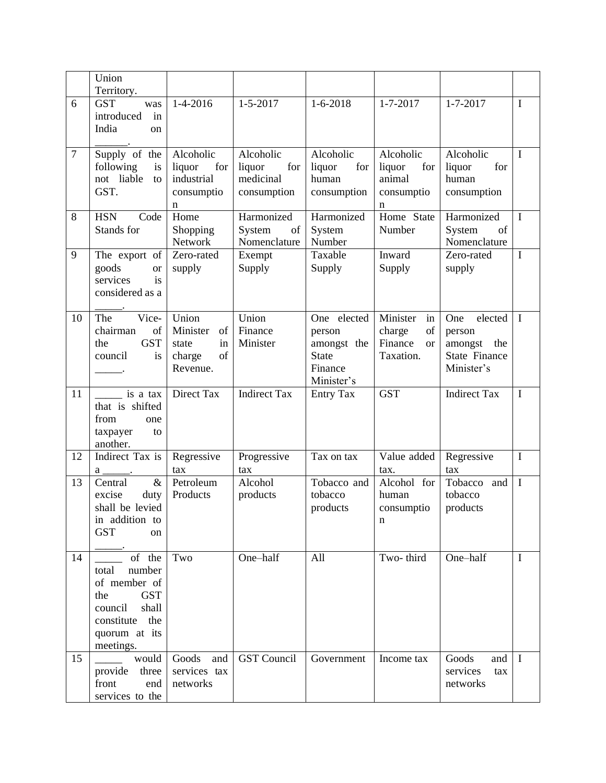|                | Union<br>Territory.                                                                                                                   |                                                                    |                                                        |                                                                               |                                                                     |                                                                               |             |
|----------------|---------------------------------------------------------------------------------------------------------------------------------------|--------------------------------------------------------------------|--------------------------------------------------------|-------------------------------------------------------------------------------|---------------------------------------------------------------------|-------------------------------------------------------------------------------|-------------|
| 6              | <b>GST</b><br>was<br>introduced<br>in<br>India<br>on                                                                                  | $1-4-2016$                                                         | $1 - 5 - 2017$                                         | $1 - 6 - 2018$                                                                | $1 - 7 - 2017$                                                      | $1 - 7 - 2017$                                                                | I           |
| $\overline{7}$ | Supply of the<br>following<br>is<br>not liable<br>to<br>GST.                                                                          | Alcoholic<br>liquor<br>for<br>industrial<br>consumptio<br>n        | Alcoholic<br>liquor<br>for<br>medicinal<br>consumption | Alcoholic<br>liquor<br>for<br>human<br>consumption                            | Alcoholic<br>liquor<br>for<br>animal<br>consumptio<br>n             | Alcoholic<br>liquor<br>for<br>human<br>consumption                            | $\mathbf I$ |
| 8              | <b>HSN</b><br>Code<br>Stands for                                                                                                      | Home<br>Shopping<br>Network                                        | Harmonized<br>System<br>of<br>Nomenclature             | Harmonized<br>System<br>Number                                                | Home State<br>Number                                                | Harmonized<br>System<br>of<br>Nomenclature                                    | $\mathbf I$ |
| 9              | The export of<br>goods<br><b>or</b><br>is<br>services<br>considered as a                                                              | Zero-rated<br>supply                                               | Exempt<br>Supply                                       | Taxable<br>Supply                                                             | Inward<br>Supply                                                    | Zero-rated<br>supply                                                          | $\mathbf I$ |
| 10             | Vice-<br>The<br>chairman<br>of<br><b>GST</b><br>the<br>council<br>is                                                                  | Union<br>Minister<br>of<br>state<br>in<br>of<br>charge<br>Revenue. | Union<br>Finance<br>Minister                           | One elected<br>person<br>amongst the<br><b>State</b><br>Finance<br>Minister's | Minister<br>in<br>of<br>charge<br>Finance<br><b>or</b><br>Taxation. | elected<br>One<br>person<br>amongst the<br><b>State Finance</b><br>Minister's | $\mathbf I$ |
| 11             | is a tax<br>that is shifted<br>from<br>one<br>taxpayer<br>to                                                                          | Direct Tax                                                         | <b>Indirect Tax</b>                                    | <b>Entry Tax</b>                                                              | <b>GST</b>                                                          | <b>Indirect Tax</b>                                                           | I           |
|                | another.                                                                                                                              |                                                                    |                                                        |                                                                               |                                                                     |                                                                               |             |
| 12             | Indirect Tax is<br>a                                                                                                                  | Regressive<br>tax                                                  | Progressive                                            | Tax on tax                                                                    | Value added<br>tax.                                                 | Regressive<br>tax                                                             | $\bf{I}$    |
| 13             | $\&$<br>Central<br>excise<br>duty<br>shall be levied<br>in addition to<br><b>GST</b><br><sub>on</sub>                                 | Petroleum<br>Products                                              | tax<br>Alcohol<br>products                             | Tobacco and<br>tobacco<br>products                                            | Alcohol for<br>human<br>consumptio<br>n                             | Tobacco<br>and<br>tobacco<br>products                                         | $\mathbf I$ |
| 14             | of the<br>number<br>total<br>of member of<br><b>GST</b><br>the<br>council<br>shall<br>the<br>constitute<br>quorum at its<br>meetings. | Two                                                                | One-half                                               | All                                                                           | Two-third                                                           | One-half                                                                      | $\mathbf I$ |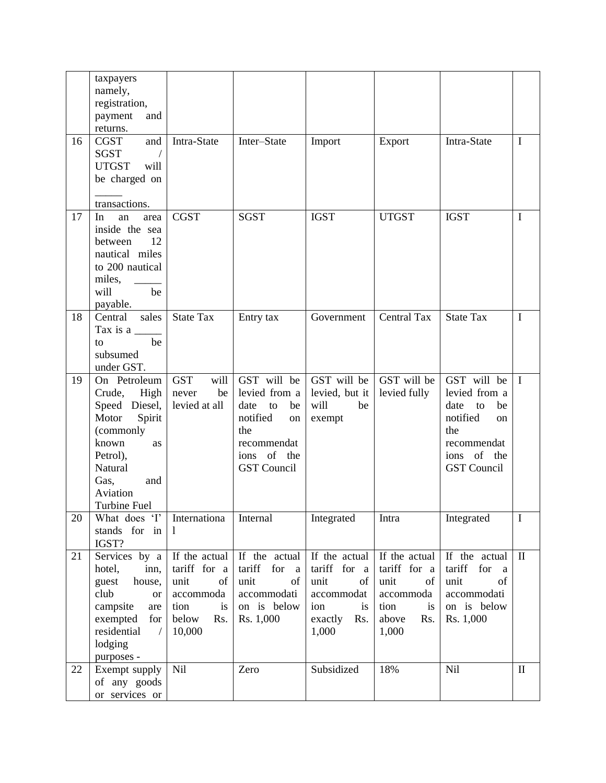|    | taxpayers<br>namely,<br>registration,<br>payment<br>and<br>returns.                                                                                                     |                                                                                                  |                                                                                                                               |                                                                                                      |                                                                                                 |                                                                                                                               |              |
|----|-------------------------------------------------------------------------------------------------------------------------------------------------------------------------|--------------------------------------------------------------------------------------------------|-------------------------------------------------------------------------------------------------------------------------------|------------------------------------------------------------------------------------------------------|-------------------------------------------------------------------------------------------------|-------------------------------------------------------------------------------------------------------------------------------|--------------|
| 16 | and<br><b>CGST</b><br><b>SGST</b><br><b>UTGST</b><br>will<br>be charged on<br>transactions.                                                                             | Intra-State                                                                                      | Inter-State                                                                                                                   | Import                                                                                               | Export                                                                                          | Intra-State                                                                                                                   | $\mathbf I$  |
| 17 | In<br>an<br>area<br>inside the sea<br>12<br>between<br>nautical miles<br>to 200 nautical<br>miles,<br>will<br>be<br>payable.                                            | <b>CGST</b>                                                                                      | <b>SGST</b>                                                                                                                   | <b>IGST</b>                                                                                          | <b>UTGST</b>                                                                                    | <b>IGST</b>                                                                                                                   | $\mathbf I$  |
| 18 | Central<br>sales<br>Tax is a $\frac{ }{ }$<br>be<br>to<br>subsumed<br>under GST.                                                                                        | <b>State Tax</b>                                                                                 | Entry tax                                                                                                                     | Government                                                                                           | <b>Central Tax</b>                                                                              | <b>State Tax</b>                                                                                                              | $\mathbf I$  |
| 19 | On Petroleum<br>Crude,<br>High<br>Speed Diesel,<br>Motor<br>Spirit<br>(commonly<br>known<br>as<br>Petrol),<br>Natural<br>Gas,<br>and<br>Aviation<br><b>Turbine Fuel</b> | <b>GST</b><br>will<br>be<br>never<br>levied at all                                               | GST will be<br>levied from a<br>date<br>to<br>be<br>notified<br>on<br>the<br>recommendat<br>ions of the<br><b>GST</b> Council | GST will be<br>levied, but it<br>will<br>be<br>exempt                                                | GST will be<br>levied fully                                                                     | GST will be<br>levied from a<br>date<br>be<br>to<br>notified<br>on<br>the<br>recommendat<br>ions of the<br><b>GST</b> Council | $\mathbf I$  |
| 20 | What does 'I'<br>stands for in<br>IGST?                                                                                                                                 | Internationa<br>1                                                                                | Internal                                                                                                                      | Integrated                                                                                           | Intra                                                                                           | Integrated                                                                                                                    | $\mathbf I$  |
| 21 | Services by a<br>inn,<br>hotel,<br>house,<br>guest<br>club<br><sub>or</sub><br>campsite<br>are<br>exempted<br>for<br>residential<br>$\sqrt{2}$<br>lodging<br>purposes - | If the actual<br>tariff for a<br>unit<br>of<br>accommoda<br>tion<br>is<br>below<br>Rs.<br>10,000 | If the actual<br>tariff<br>for<br><sub>a</sub><br>unit<br>of<br>accommodati<br>on is below<br>Rs. 1,000                       | If the actual<br>tariff for<br>a<br>unit<br>of<br>accommodat<br>ion<br>is<br>exactly<br>Rs.<br>1,000 | If the actual<br>tariff for a<br>unit<br>of<br>accommoda<br>tion<br>is<br>above<br>Rs.<br>1,000 | If the actual<br>tariff for<br><sub>a</sub><br>unit<br>of<br>accommodati<br>on is below<br>Rs. 1,000                          | $\rm II$     |
| 22 | Exempt supply<br>of any goods<br>or services or                                                                                                                         | Nil                                                                                              | Zero                                                                                                                          | Subsidized                                                                                           | 18%                                                                                             | <b>Nil</b>                                                                                                                    | $\mathbf{I}$ |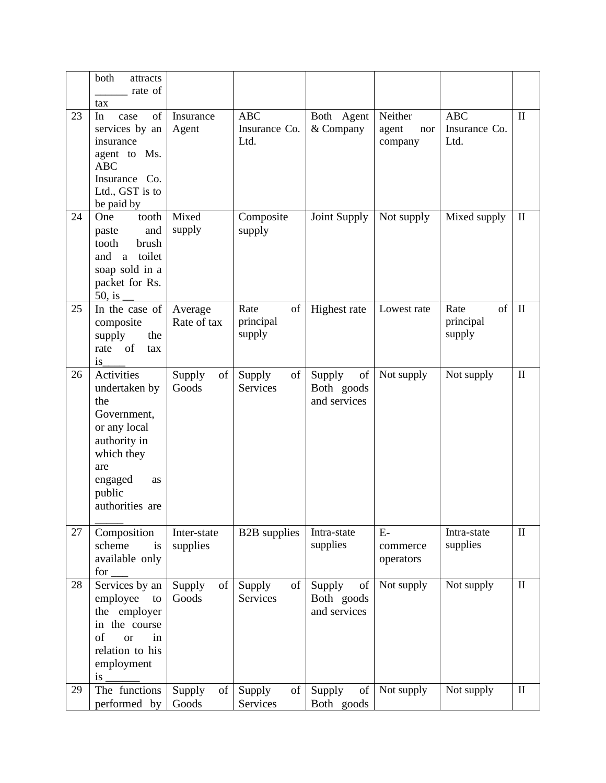|    | both<br>attracts<br>rate of                                                                                                                          |                         |                                     |                                            |                                    |                                     |              |
|----|------------------------------------------------------------------------------------------------------------------------------------------------------|-------------------------|-------------------------------------|--------------------------------------------|------------------------------------|-------------------------------------|--------------|
| 23 | tax<br>of<br>In<br>case<br>services by an<br>insurance<br>agent to Ms.<br><b>ABC</b><br>Insurance Co.<br>Ltd., GST is to<br>be paid by               | Insurance<br>Agent      | <b>ABC</b><br>Insurance Co.<br>Ltd. | Both Agent<br>& Company                    | Neither<br>agent<br>nor<br>company | <b>ABC</b><br>Insurance Co.<br>Ltd. | $\mathbf{I}$ |
| 24 | One<br>tooth<br>and<br>paste<br>brush<br>tooth<br>toilet<br>and<br>a a<br>soap sold in a<br>packet for Rs.<br>$50$ , is                              | Mixed<br>supply         | Composite<br>supply                 | Joint Supply                               | Not supply                         | Mixed supply                        | $\mathbf{I}$ |
| 25 | In the case of<br>composite<br>supply<br>the<br><sub>of</sub><br>rate<br>tax<br>is                                                                   | Average<br>Rate of tax  | Rate<br>of<br>principal<br>supply   | Highest rate                               | Lowest rate                        | of<br>Rate<br>principal<br>supply   | $\mathbf{I}$ |
| 26 | Activities<br>undertaken by<br>the<br>Government,<br>or any local<br>authority in<br>which they<br>are<br>engaged<br>as<br>public<br>authorities are | Supply<br>of<br>Goods   | Supply<br>of<br><b>Services</b>     | Supply<br>of<br>Both goods<br>and services | Not supply                         | Not supply                          | $\mathbf{I}$ |
| 27 | Composition<br>scheme<br>is<br>available only<br>for                                                                                                 | Inter-state<br>supplies | <b>B2B</b> supplies                 | Intra-state<br>supplies                    | $E-$<br>commerce<br>operators      | Intra-state<br>supplies             | $\mathbf{I}$ |
| 28 | Services by an<br>employee<br>to<br>the employer<br>in the course<br>of<br>in<br><b>or</b><br>relation to his<br>employment<br>is                    | Supply<br>of<br>Goods   | Supply<br>of<br>Services            | Supply<br>of<br>Both goods<br>and services | Not supply                         | Not supply                          | $\mathbf{I}$ |
| 29 | The functions<br>performed by                                                                                                                        | Supply<br>of<br>Goods   | Supply<br>of<br>Services            | Supply<br>of<br>Both goods                 | Not supply                         | Not supply                          | $\mathbf{I}$ |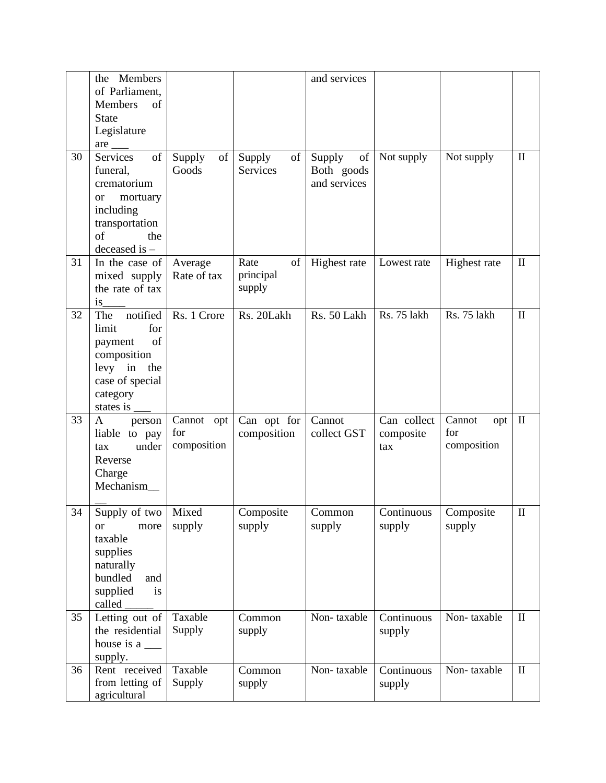|    | the Members<br>of Parliament,<br>of<br>Members                                                                                                      |                                  |                                   | and services                               |                                  |                                     |              |
|----|-----------------------------------------------------------------------------------------------------------------------------------------------------|----------------------------------|-----------------------------------|--------------------------------------------|----------------------------------|-------------------------------------|--------------|
|    | <b>State</b><br>Legislature                                                                                                                         |                                  |                                   |                                            |                                  |                                     |              |
| 30 | are<br><b>Services</b><br>of<br>funeral,<br>crematorium<br>mortuary<br><sub>or</sub><br>including<br>transportation<br>of<br>the<br>deceased is $-$ | of<br>Supply<br>Goods            | Supply<br>of<br>Services          | Supply<br>of<br>Both goods<br>and services | Not supply                       | Not supply                          | $\rm II$     |
| 31 | In the case of<br>mixed supply<br>the rate of tax<br>is                                                                                             | Average<br>Rate of tax           | Rate<br>of<br>principal<br>supply | Highest rate                               | Lowest rate                      | Highest rate                        | $\mathbf{I}$ |
| 32 | notified<br>The<br>limit<br>for<br>of<br>payment<br>composition<br>levy in<br>the<br>case of special<br>category<br>states is                       | Rs. 1 Crore                      | Rs. 20Lakh                        | Rs. 50 Lakh                                | Rs. 75 lakh                      | Rs. 75 lakh                         | $\mathbf{I}$ |
| 33 | A<br>person<br>liable to pay<br>under<br>tax<br>Reverse<br>Charge<br>Mechanism_                                                                     | Cannot opt<br>for<br>composition | Can opt for<br>composition        | Cannot<br>collect GST                      | Can collect<br>composite<br>tax  | Cannot<br>opt<br>for<br>composition | $\;$ II      |
| 34 | Supply of two   Mixed<br>more<br><b>or</b><br>taxable<br>supplies<br>naturally<br>bundled<br>and<br>supplied<br>is<br>called                        | supply                           | Composite<br>supply               | Common<br>supply                           | Continuous   Composite<br>supply | supply                              | $\mathbf I$  |
| 35 | Letting out of<br>the residential<br>supply.                                                                                                        | Taxable<br>Supply                | Common<br>supply                  | Non-taxable                                | Continuous<br>supply             | Non-taxable                         | $\mathbf{I}$ |
| 36 | Rent received<br>from letting of<br>agricultural                                                                                                    | Taxable<br>Supply                | Common<br>supply                  | Non-taxable                                | Continuous<br>supply             | Non-taxable                         | $\mathbf{I}$ |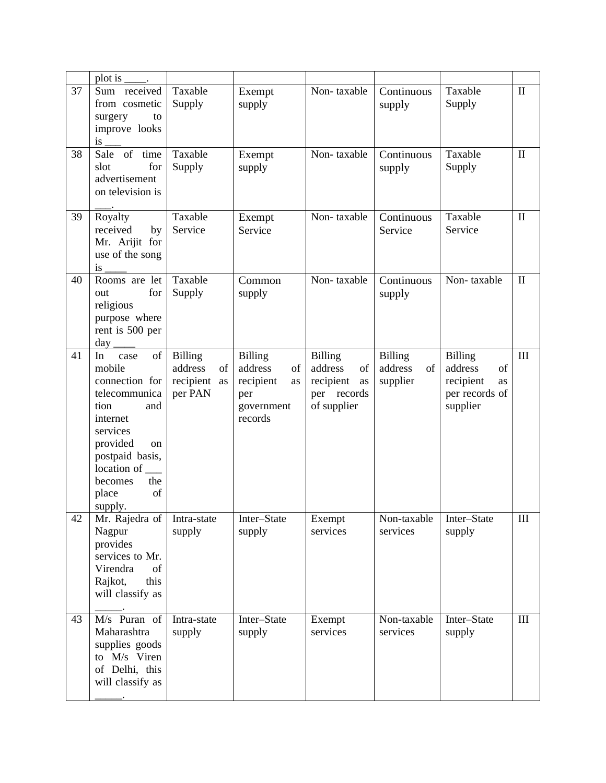|    | plot is                                                                                                                                                                                              |                                                               |                                                                                    |                                                                                  |                                             |                                                                                  |                    |
|----|------------------------------------------------------------------------------------------------------------------------------------------------------------------------------------------------------|---------------------------------------------------------------|------------------------------------------------------------------------------------|----------------------------------------------------------------------------------|---------------------------------------------|----------------------------------------------------------------------------------|--------------------|
| 37 | Sum received<br>from cosmetic<br>surgery<br>to<br>improve looks<br>is                                                                                                                                | Taxable<br>Supply                                             | Exempt<br>supply                                                                   | Non-taxable                                                                      | Continuous<br>supply                        | Taxable<br>Supply                                                                | $\mathbf{I}$       |
| 38 | Sale of time<br>for<br>slot<br>advertisement<br>on television is                                                                                                                                     | Taxable<br>Supply                                             | Exempt<br>supply                                                                   | Non-taxable                                                                      | Continuous<br>supply                        | Taxable<br>Supply                                                                | $\mathbf{I}$       |
| 39 | Royalty<br>received<br>by<br>Mr. Arijit for<br>use of the song<br>is                                                                                                                                 | Taxable<br>Service                                            | Exempt<br>Service                                                                  | Non-taxable                                                                      | Continuous<br>Service                       | Taxable<br>Service                                                               | $\rm II$           |
| 40 | Rooms are let<br>for<br>out<br>religious<br>purpose where<br>rent is 500 per                                                                                                                         | Taxable<br>Supply                                             | Common<br>supply                                                                   | Non-taxable                                                                      | Continuous<br>supply                        | Non-taxable                                                                      | $\mathbf{I}$       |
| 41 | of<br>In<br>case<br>mobile<br>connection for<br>telecommunica<br>tion<br>and<br>internet<br>services<br>provided<br>on<br>postpaid basis,<br>location of<br>the<br>becomes<br>of<br>place<br>supply. | <b>Billing</b><br>address<br>of<br>recipient<br>as<br>per PAN | <b>Billing</b><br>address<br>of<br>recipient<br>as<br>per<br>government<br>records | <b>Billing</b><br>address<br>of<br>recipient<br>as<br>per records<br>of supplier | <b>Billing</b><br>address<br>of<br>supplier | <b>Billing</b><br>of<br>address<br>recipient<br>as<br>per records of<br>supplier | $\mathop{\rm III}$ |
| 42 | Mr. Rajedra of<br>Nagpur<br>provides<br>services to Mr.<br>Virendra<br>of<br>this<br>Rajkot,<br>will classify as                                                                                     | Intra-state<br>supply                                         | Inter-State<br>supply                                                              | Exempt<br>services                                                               | Non-taxable<br>services                     | Inter-State<br>supply                                                            | $\mathop{\rm III}$ |
| 43 | M/s Puran of<br>Maharashtra<br>supplies goods<br>to M/s Viren<br>of Delhi, this<br>will classify as                                                                                                  | Intra-state<br>supply                                         | Inter-State<br>supply                                                              | Exempt<br>services                                                               | Non-taxable<br>services                     | Inter-State<br>supply                                                            | $\rm III$          |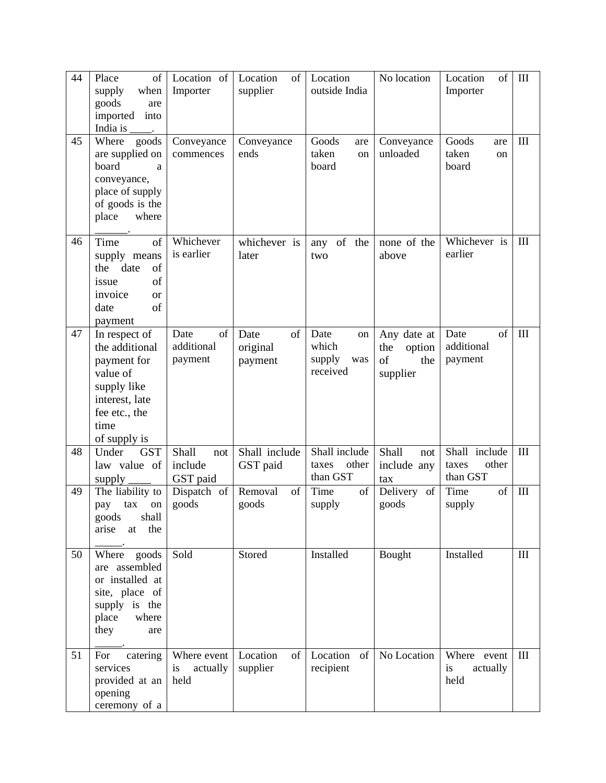| 44 | Place<br>of<br>supply<br>when<br>goods<br>are<br>imported<br>into<br>India is                                                        | Location of<br>Importer               | Location<br>of<br>supplier        | Location<br>outside India                        | No location                                           | of<br>Location<br>Importer                  | $\mathop{\rm III}$ |
|----|--------------------------------------------------------------------------------------------------------------------------------------|---------------------------------------|-----------------------------------|--------------------------------------------------|-------------------------------------------------------|---------------------------------------------|--------------------|
| 45 | Where<br>goods<br>are supplied on<br>board<br>a<br>conveyance,<br>place of supply<br>of goods is the<br>place<br>where               | Conveyance<br>commences               | Conveyance<br>ends                | Goods<br>are<br>taken<br>on<br>board             | Conveyance<br>unloaded                                | Goods<br>are<br>taken<br>on<br>board        | $\mathop{\rm III}$ |
| 46 | Time<br>of<br>supply means<br>the date<br>of<br>of<br>issue<br>invoice<br><b>or</b><br>of<br>date<br>payment                         | Whichever<br>is earlier               | whichever is<br>later             | of the<br>any<br>two                             | none of the<br>above                                  | Whichever is<br>earlier                     | $\mathop{\rm III}$ |
| 47 | In respect of<br>the additional<br>payment for<br>value of<br>supply like<br>interest, late<br>fee etc., the<br>time<br>of supply is | Date<br>of<br>additional<br>payment   | of<br>Date<br>original<br>payment | Date<br>on<br>which<br>supply<br>was<br>received | Any date at<br>the<br>option<br>of<br>the<br>supplier | of<br>Date<br>additional<br>payment         | $\mathop{\rm III}$ |
| 48 | Under<br><b>GST</b><br>law value of<br>supply                                                                                        | Shall<br>not<br>include<br>GST paid   | Shall include<br>GST paid         | Shall include<br>other<br>taxes<br>than GST      | Shall<br>not<br>include any<br>tax                    | Shall include<br>other<br>taxes<br>than GST | $\mathop{\rm III}$ |
| 49 | The liability to<br>tax<br>pay<br>on<br>goods<br>shall<br>arise<br>the<br>at                                                         | Dispatch of<br>goods                  | of<br>Removal<br>goods            | Time<br>of<br>supply                             | Delivery<br>of<br>goods                               | Time<br>of<br>supply                        | $\mathop{\rm III}$ |
| 50 | Where goods<br>are assembled<br>or installed at<br>site, place of<br>supply is the<br>place<br>where<br>they<br>are                  | Sold                                  | Stored                            | Installed                                        | Bought                                                | Installed                                   | $\mathop{\rm III}$ |
| 51 | For<br>catering<br>services<br>provided at an<br>opening<br>ceremony of a                                                            | Where event<br>is<br>actually<br>held | Location<br>of<br>supplier        | Location<br>of<br>recipient                      | No Location                                           | Where event<br>actually<br>is<br>held       | $\mathop{\rm III}$ |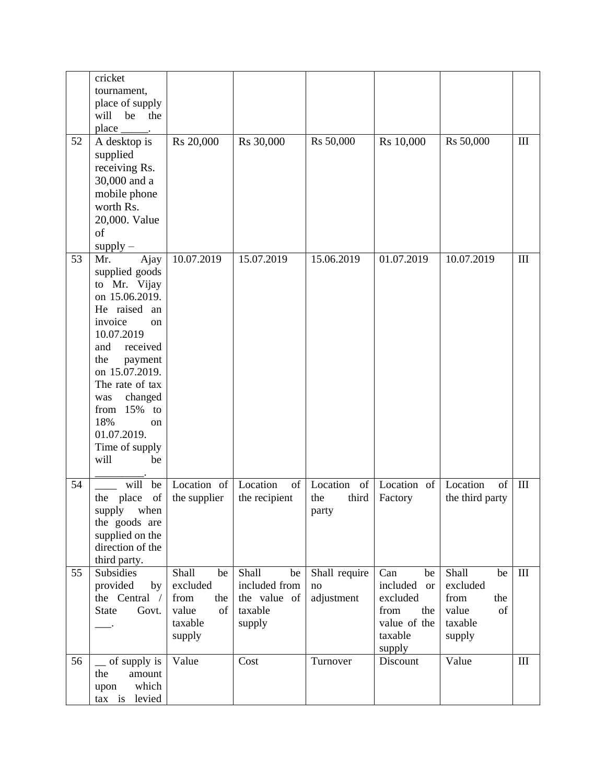|    | cricket<br>tournament,<br>place of supply<br>will<br>be<br>the<br>place                                                                                                                                                                                                               |                                                                            |                                                                          |                                         |                                                                                                    |                                                                            |                    |
|----|---------------------------------------------------------------------------------------------------------------------------------------------------------------------------------------------------------------------------------------------------------------------------------------|----------------------------------------------------------------------------|--------------------------------------------------------------------------|-----------------------------------------|----------------------------------------------------------------------------------------------------|----------------------------------------------------------------------------|--------------------|
| 52 | A desktop is<br>supplied<br>receiving Rs.<br>30,000 and a<br>mobile phone<br>worth Rs.<br>20,000. Value<br>of<br>$supply -$                                                                                                                                                           | Rs 20,000                                                                  | Rs 30,000                                                                | Rs 50,000                               | Rs 10,000                                                                                          | Rs 50,000                                                                  | $\mathop{\rm III}$ |
| 53 | Ajay<br>Mr.<br>supplied goods<br>to Mr. Vijay<br>on 15.06.2019.<br>He raised an<br>invoice<br>on<br>10.07.2019<br>and<br>received<br>the<br>payment<br>on 15.07.2019.<br>The rate of tax<br>changed<br>was<br>from 15% to<br>18%<br>on<br>01.07.2019.<br>Time of supply<br>will<br>be | 10.07.2019                                                                 | 15.07.2019                                                               | 15.06.2019                              | 01.07.2019                                                                                         | 10.07.2019                                                                 | $\mathop{\rm III}$ |
| 54 | will<br>be<br>place<br>of<br>the<br>supply<br>when<br>the goods are<br>supplied on the<br>direction of the<br>third party.                                                                                                                                                            | Location of<br>the supplier                                                | Location<br>of<br>the recipient                                          | Location<br>of<br>third<br>the<br>party | Location of<br>Factory                                                                             | Location<br>of<br>the third party                                          | $\mathop{\rm III}$ |
| 55 | Subsidies<br>provided<br>by<br>the Central /<br><b>State</b><br>Govt.                                                                                                                                                                                                                 | Shall<br>be<br>excluded<br>from<br>the<br>value<br>of<br>taxable<br>supply | <b>Shall</b><br>be<br>included from<br>the value of<br>taxable<br>supply | Shall require<br>no<br>adjustment       | Can<br>be<br>included<br><b>or</b><br>excluded<br>from<br>the<br>value of the<br>taxable<br>supply | Shall<br>be<br>excluded<br>from<br>the<br>value<br>of<br>taxable<br>supply | $\mathop{\rm III}$ |
| 56 | $\equiv$ of supply is<br>the<br>amount<br>which<br>upon<br>tax is levied                                                                                                                                                                                                              | Value                                                                      | Cost                                                                     | Turnover                                | Discount                                                                                           | Value                                                                      | $\mathop{\rm III}$ |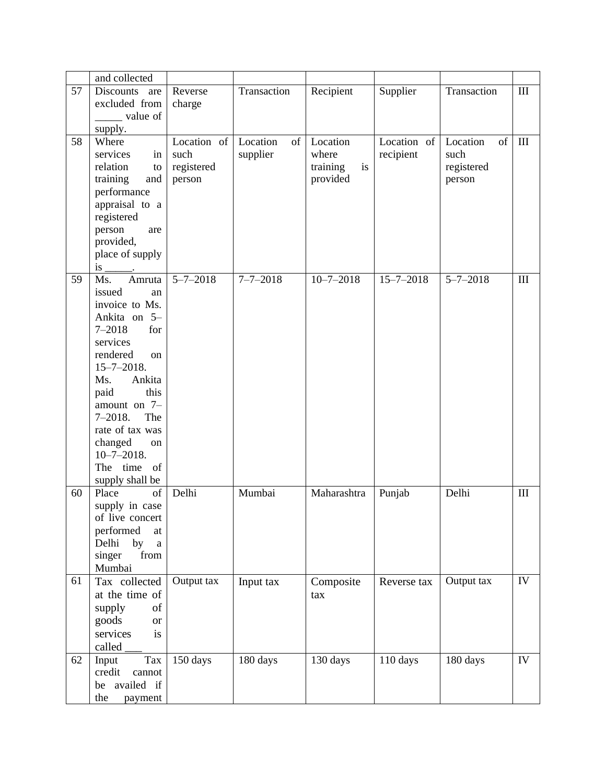|    | and collected                     |                |                      |                 |                 |                |                             |
|----|-----------------------------------|----------------|----------------------|-----------------|-----------------|----------------|-----------------------------|
| 57 | Discounts<br>are                  | Reverse        | Transaction          | Recipient       | Supplier        | Transaction    | $\mathop{\rm III}$          |
|    | excluded from                     | charge         |                      |                 |                 |                |                             |
|    | ______ value of                   |                |                      |                 |                 |                |                             |
|    | supply.                           |                |                      |                 |                 |                |                             |
| 58 | Where                             | Location of    | Location<br>$\sigma$ | Location        | Location of     | Location<br>of | $\mathop{\rm III}$          |
|    | services<br>in                    | such           | supplier             | where           | recipient       | such           |                             |
|    | relation<br>to                    | registered     |                      | training<br>is  |                 | registered     |                             |
|    | training<br>and                   | person         |                      | provided        |                 | person         |                             |
|    | performance                       |                |                      |                 |                 |                |                             |
|    | appraisal to a                    |                |                      |                 |                 |                |                             |
|    | registered                        |                |                      |                 |                 |                |                             |
|    | person                            |                |                      |                 |                 |                |                             |
|    | are<br>provided,                  |                |                      |                 |                 |                |                             |
|    |                                   |                |                      |                 |                 |                |                             |
|    | place of supply                   |                |                      |                 |                 |                |                             |
| 59 | is<br>Ms.<br>Amruta               | $5 - 7 - 2018$ | $7 - 7 - 2018$       | $10 - 7 - 2018$ | $15 - 7 - 2018$ | $5 - 7 - 2018$ | $\mathop{\rm III}\nolimits$ |
|    | issued                            |                |                      |                 |                 |                |                             |
|    | an<br>invoice to Ms.              |                |                      |                 |                 |                |                             |
|    |                                   |                |                      |                 |                 |                |                             |
|    | Ankita on 5-                      |                |                      |                 |                 |                |                             |
|    | $7 - 2018$<br>for<br>services     |                |                      |                 |                 |                |                             |
|    |                                   |                |                      |                 |                 |                |                             |
|    | rendered<br><sub>on</sub>         |                |                      |                 |                 |                |                             |
|    | $15 - 7 - 2018.$                  |                |                      |                 |                 |                |                             |
|    | Ankita<br>Ms.                     |                |                      |                 |                 |                |                             |
|    | this<br>paid                      |                |                      |                 |                 |                |                             |
|    | amount on 7-<br>$7 - 2018.$       |                |                      |                 |                 |                |                             |
|    | The<br>rate of tax was            |                |                      |                 |                 |                |                             |
|    |                                   |                |                      |                 |                 |                |                             |
|    | changed<br>on<br>$10 - 7 - 2018.$ |                |                      |                 |                 |                |                             |
|    | The time of                       |                |                      |                 |                 |                |                             |
|    |                                   |                |                      |                 |                 |                |                             |
|    | supply shall be                   | Delhi          |                      |                 |                 |                |                             |
| 60 | Place<br>of                       |                | Mumbai               | Maharashtra     | Punjab          | Delhi          | $\mathop{\rm III}\nolimits$ |
|    | supply in case                    |                |                      |                 |                 |                |                             |
|    | of live concert                   |                |                      |                 |                 |                |                             |
|    | performed<br>at                   |                |                      |                 |                 |                |                             |
|    | Delhi<br>by<br>$\mathbf{a}$       |                |                      |                 |                 |                |                             |
|    | singer<br>from                    |                |                      |                 |                 |                |                             |
|    | Mumbai                            |                |                      |                 |                 |                | ${\rm IV}$                  |
| 61 | Tax collected                     | Output tax     | Input tax            | Composite       | Reverse tax     | Output tax     |                             |
|    | at the time of                    |                |                      | tax             |                 |                |                             |
|    | supply<br>of                      |                |                      |                 |                 |                |                             |
|    | goods<br><b>or</b>                |                |                      |                 |                 |                |                             |
|    | services<br>is                    |                |                      |                 |                 |                |                             |
|    | called                            |                |                      |                 |                 |                |                             |
| 62 | Tax<br>Input                      | 150 days       | 180 days             | 130 days        | 110 days        | 180 days       | IV                          |
|    | credit<br>cannot                  |                |                      |                 |                 |                |                             |
|    | be availed if                     |                |                      |                 |                 |                |                             |
|    | the<br>payment                    |                |                      |                 |                 |                |                             |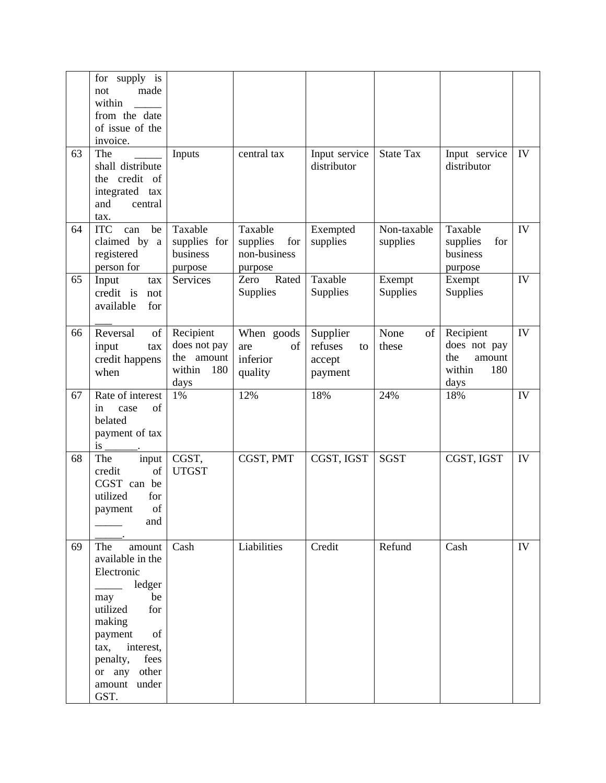|    | for<br>supply is<br>made<br>not<br>within<br>from the date<br>of issue of the<br>invoice.                                                                                                 |                                                                  |                                                       |                                                |                         |                                                                     |            |
|----|-------------------------------------------------------------------------------------------------------------------------------------------------------------------------------------------|------------------------------------------------------------------|-------------------------------------------------------|------------------------------------------------|-------------------------|---------------------------------------------------------------------|------------|
| 63 | The<br>shall distribute<br>the credit of<br>integrated<br>tax<br>and<br>central<br>tax.                                                                                                   | Inputs                                                           | central tax                                           | Input service<br>distributor                   | <b>State Tax</b>        | Input service<br>distributor                                        | IV         |
| 64 | <b>ITC</b><br>be<br>can<br>claimed by a<br>registered<br>person for                                                                                                                       | Taxable<br>supplies for<br>business<br>purpose                   | Taxable<br>supplies<br>for<br>non-business<br>purpose | Exempted<br>supplies                           | Non-taxable<br>supplies | Taxable<br>supplies<br>for<br>business<br>purpose                   | IV         |
| 65 | Input<br>tax<br>credit is<br>not<br>available<br>for                                                                                                                                      | Services                                                         | Rated<br>Zero<br>Supplies                             | Taxable<br>Supplies                            | Exempt<br>Supplies      | Exempt<br>Supplies                                                  | IV         |
| 66 | Reversal<br>of<br>input<br>tax<br>credit happens<br>when                                                                                                                                  | Recipient<br>does not pay<br>the amount<br>within<br>180<br>days | When goods<br>of<br>are<br>inferior<br>quality        | Supplier<br>refuses<br>to<br>accept<br>payment | None<br>of<br>these     | Recipient<br>does not pay<br>the<br>amount<br>within<br>180<br>days | IV         |
| 67 | Rate of interest<br>of<br>in<br>case<br>belated<br>payment of tax<br>is                                                                                                                   | 1%                                                               | 12%                                                   | 18%                                            | 24%                     | 18%                                                                 | IV         |
| 68 | The<br>input<br>credit<br>of<br>CGST can be<br>utilized<br>for<br>of<br>payment<br>and                                                                                                    | CGST,<br><b>UTGST</b>                                            | CGST, PMT                                             | CGST, IGST                                     | <b>SGST</b>             | CGST, IGST                                                          | IV         |
| 69 | The<br>amount<br>available in the<br>Electronic<br>ledger<br>$\overline{\phantom{a}}$<br>be<br>may<br>utilized<br>for<br>making<br>of<br>payment<br>interest,<br>tax,<br>penalty,<br>fees | Cash                                                             | Liabilities                                           | Credit                                         | Refund                  | Cash                                                                | ${\rm IV}$ |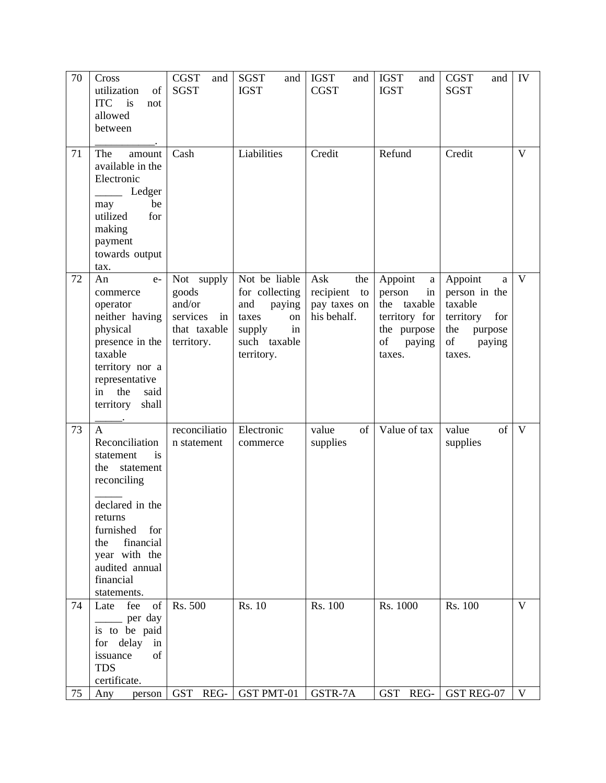| 70 | Cross<br>utilization<br>of<br><b>ITC</b><br>is<br>not<br>allowed<br>between                                                                                                                                               | <b>CGST</b><br>and<br><b>SGST</b>                                             | <b>SGST</b><br>and<br><b>IGST</b>                                                                             | <b>IGST</b><br>and<br><b>CGST</b>                            | <b>IGST</b><br>and<br><b>IGST</b>                                                                     | <b>CGST</b><br>and<br><b>SGST</b>                                                                        | IV           |
|----|---------------------------------------------------------------------------------------------------------------------------------------------------------------------------------------------------------------------------|-------------------------------------------------------------------------------|---------------------------------------------------------------------------------------------------------------|--------------------------------------------------------------|-------------------------------------------------------------------------------------------------------|----------------------------------------------------------------------------------------------------------|--------------|
| 71 | The<br>amount<br>available in the<br>Electronic<br>Ledger<br>be<br>may<br>utilized<br>for<br>making<br>payment<br>towards output<br>tax.                                                                                  | Cash                                                                          | Liabilities                                                                                                   | Credit                                                       | Refund                                                                                                | Credit                                                                                                   | $\mathbf{V}$ |
| 72 | An<br>$e-$<br>commerce<br>operator<br>neither having<br>physical<br>presence in the<br>taxable<br>territory nor a<br>representative<br>the<br>said<br>in<br>territory<br>shall                                            | Not supply<br>goods<br>and/or<br>services<br>in<br>that taxable<br>territory. | Not be liable<br>for collecting<br>and<br>paying<br>taxes<br>on<br>in<br>supply<br>such taxable<br>territory. | Ask<br>the<br>recipient<br>to<br>pay taxes on<br>his behalf. | Appoint<br>a<br>person<br>in<br>the taxable<br>territory for<br>the purpose<br>of<br>paying<br>taxes. | Appoint<br>a<br>person in the<br>taxable<br>territory<br>for<br>the<br>purpose<br>of<br>paying<br>taxes. | $\mathbf{V}$ |
| 73 | $\mathbf{A}$<br>Reconciliation<br>is<br>statement<br>the<br>statement<br>reconciling<br>declared in the<br>returns<br>furnished<br>for<br>financial<br>the<br>year with the<br>audited annual<br>financial<br>statements. | reconciliatio<br>n statement                                                  | Electronic<br>commerce                                                                                        | value<br>of<br>supplies                                      | Value of tax                                                                                          | value<br>of<br>supplies                                                                                  | V            |
| 74 | fee<br>Late<br>of<br>$\frac{1}{\sqrt{2}}$ per day<br>is to be paid<br>for delay in<br>issuance<br>of<br><b>TDS</b><br>certificate.                                                                                        | Rs. 500                                                                       | Rs. 10                                                                                                        | Rs. 100                                                      | Rs. 1000                                                                                              | Rs. 100                                                                                                  | $\mathbf{V}$ |
| 75 | Any<br>person                                                                                                                                                                                                             |                                                                               | GST REG- $GST$ PMT-01                                                                                         | GSTR-7A                                                      | GST REG-                                                                                              | GST REG-07                                                                                               | V            |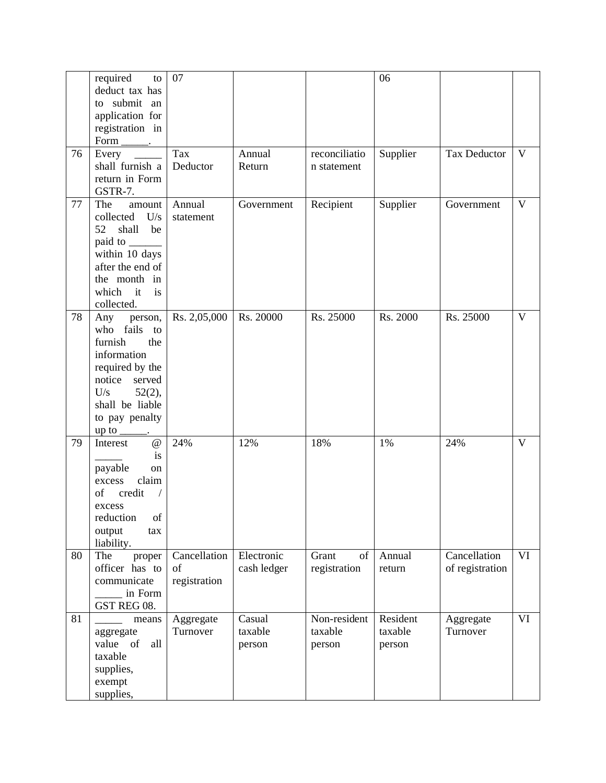|    | required<br>to<br>deduct tax has<br>to submit an<br>application for<br>registration in<br>$Form$ <sub>_________</sub> .                                                  | 07                                 |                             |                                   | 06                            |                                 |              |
|----|--------------------------------------------------------------------------------------------------------------------------------------------------------------------------|------------------------------------|-----------------------------|-----------------------------------|-------------------------------|---------------------------------|--------------|
| 76 | Every<br>$\sim$<br>shall furnish a<br>return in Form<br>GSTR-7.                                                                                                          | Tax<br>Deductor                    | Annual<br>Return            | reconciliatio<br>n statement      | Supplier                      | <b>Tax Deductor</b>             | $\mathbf{V}$ |
| 77 | The<br>amount<br>collected<br>U/s<br>52<br>shall<br>be<br>within 10 days<br>after the end of<br>the month in<br>which<br>it<br>is<br>collected.                          | Annual<br>statement                | Government                  | Recipient                         | Supplier                      | Government                      | V            |
| 78 | Any<br>person,<br>who fails to<br>furnish<br>the<br>information<br>required by the<br>notice<br>served<br>U/s<br>$52(2)$ ,<br>shall be liable<br>to pay penalty<br>up to | Rs. 2,05,000                       | Rs. 20000                   | Rs. 25000                         | Rs. 2000                      | Rs. 25000                       | $\mathbf V$  |
| 79 | $^\text{\textregistered}$<br>Interest<br>is<br>payable<br>on<br>claim<br>excess<br>credit<br>of<br>$\bigg)$<br>excess<br>reduction<br>of<br>output<br>tax<br>liability.  | 24%                                | 12%                         | 18%                               | 1%                            | 24%                             | $\mathbf{V}$ |
| 80 | The<br>proper<br>officer has to<br>communicate<br>in Form<br>GST REG 08.                                                                                                 | Cancellation<br>of<br>registration | Electronic<br>cash ledger   | of<br>Grant<br>registration       | Annual<br>return              | Cancellation<br>of registration | VI           |
| 81 | means<br>aggregate<br>value of<br>all<br>taxable<br>supplies,<br>exempt<br>supplies,                                                                                     | Aggregate<br>Turnover              | Casual<br>taxable<br>person | Non-resident<br>taxable<br>person | Resident<br>taxable<br>person | Aggregate<br>Turnover           | VI           |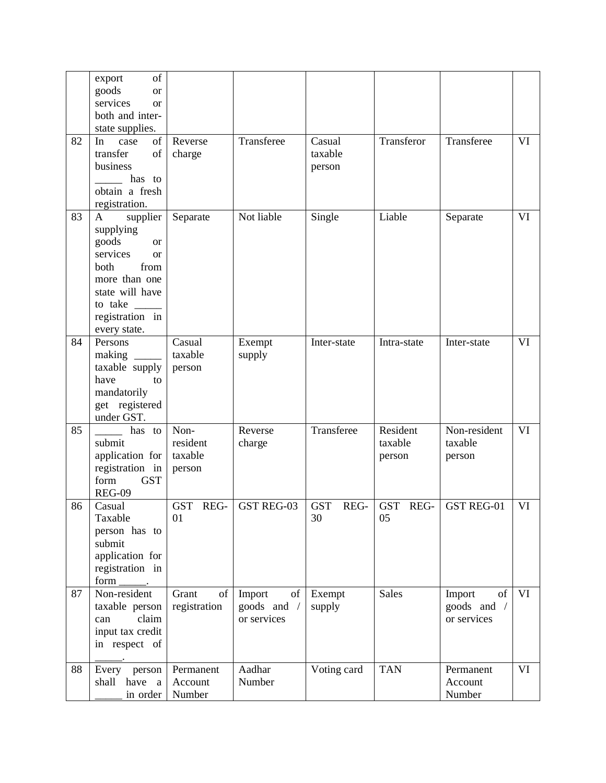|    | of<br>export<br>goods<br><sub>or</sub><br>services<br><b>or</b><br>both and inter-<br>state supplies.                                                                                  |                                       |                                            |                             |                               |                                                    |    |
|----|----------------------------------------------------------------------------------------------------------------------------------------------------------------------------------------|---------------------------------------|--------------------------------------------|-----------------------------|-------------------------------|----------------------------------------------------|----|
| 82 | of<br>In<br>case<br>transfer<br>of<br>business<br>has to<br>obtain a fresh<br>registration.                                                                                            | Reverse<br>charge                     | Transferee                                 | Casual<br>taxable<br>person | Transferor                    | Transferee                                         | VI |
| 83 | A<br>supplier<br>supplying<br>goods<br><b>or</b><br>services<br><sub>or</sub><br>both<br>from<br>more than one<br>state will have<br>to take $\_\_$<br>registration in<br>every state. | Separate                              | Not liable                                 | Single                      | Liable                        | Separate                                           | VI |
| 84 | Persons<br>making<br>taxable supply<br>have<br>to<br>mandatorily<br>get registered<br>under GST.                                                                                       | Casual<br>taxable<br>person           | Exempt<br>supply                           | Inter-state                 | Intra-state                   | Inter-state                                        | VI |
| 85 | has to<br>submit<br>application for<br>registration in<br>form<br><b>GST</b><br><b>REG-09</b>                                                                                          | Non-<br>resident<br>taxable<br>person | Reverse<br>charge                          | Transferee                  | Resident<br>taxable<br>person | Non-resident<br>taxable<br>person                  | VI |
| 86 | Casual<br>Taxable<br>person has to<br>submit<br>application for<br>registration in<br>form                                                                                             | GST REG-<br>01                        | <b>GST REG-03</b>                          | <b>GST</b><br>REG-<br>30    | GST REG-<br>05                | <b>GST REG-01</b>                                  | VI |
| 87 | Non-resident<br>taxable person<br>claim<br>can<br>input tax credit<br>in respect of                                                                                                    | Grant<br>of<br>registration           | Import<br>of<br>goods and /<br>or services | Exempt<br>supply            | <b>Sales</b>                  | Import<br>of<br>goods and $\sqrt{}$<br>or services | VI |
| 88 | Every<br>person<br>have<br>shall<br>a<br>in order                                                                                                                                      | Permanent<br>Account<br>Number        | Aadhar<br>Number                           | Voting card                 | <b>TAN</b>                    | Permanent<br>Account<br>Number                     | VI |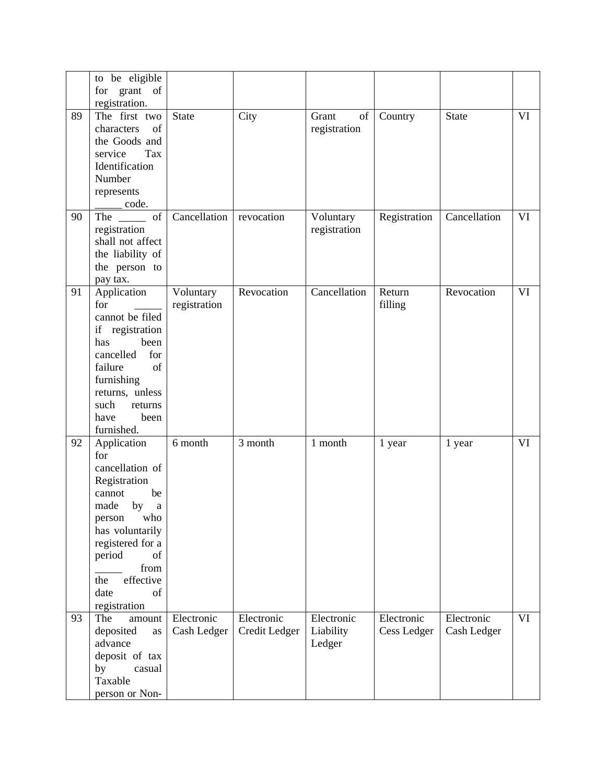|    | to be eligible<br>for grant of         |              |               |              |              |              |    |
|----|----------------------------------------|--------------|---------------|--------------|--------------|--------------|----|
| 89 | registration.<br>The first two         | <b>State</b> | City          | Grant<br>of  | Country      | State        | VI |
|    | of<br>characters                       |              |               | registration |              |              |    |
|    | the Goods and<br>service<br>Tax        |              |               |              |              |              |    |
|    | Identification                         |              |               |              |              |              |    |
|    | Number                                 |              |               |              |              |              |    |
|    | represents                             |              |               |              |              |              |    |
| 90 | code.<br>The of                        | Cancellation | revocation    | Voluntary    | Registration | Cancellation | VI |
|    | registration                           |              |               | registration |              |              |    |
|    | shall not affect                       |              |               |              |              |              |    |
|    | the liability of                       |              |               |              |              |              |    |
|    | the person to                          |              |               |              |              |              |    |
| 91 | pay tax.<br>Application                | Voluntary    | Revocation    | Cancellation | Return       | Revocation   | VI |
|    | for                                    | registration |               |              | filling      |              |    |
|    | cannot be filed                        |              |               |              |              |              |    |
|    | if registration                        |              |               |              |              |              |    |
|    | has<br>been                            |              |               |              |              |              |    |
|    | cancelled<br>for<br>of<br>failure      |              |               |              |              |              |    |
|    | furnishing                             |              |               |              |              |              |    |
|    | returns, unless                        |              |               |              |              |              |    |
|    | such<br>returns                        |              |               |              |              |              |    |
|    | have<br>been<br>furnished.             |              |               |              |              |              |    |
| 92 | Application                            | 6 month      | 3 month       | 1 month      | 1 year       | 1 year       | VI |
|    | for                                    |              |               |              |              |              |    |
|    | cancellation of                        |              |               |              |              |              |    |
|    | Registration                           |              |               |              |              |              |    |
|    | cannot<br>be<br>made<br>by<br>$\rm{a}$ |              |               |              |              |              |    |
|    | person<br>who                          |              |               |              |              |              |    |
|    | has voluntarily                        |              |               |              |              |              |    |
|    | registered for a                       |              |               |              |              |              |    |
|    | period<br>of                           |              |               |              |              |              |    |
|    | from<br>effective<br>the               |              |               |              |              |              |    |
|    | date<br>of                             |              |               |              |              |              |    |
|    | registration                           |              |               |              |              |              |    |
| 93 | The<br>amount                          | Electronic   | Electronic    | Electronic   | Electronic   | Electronic   | VI |
|    | deposited<br>as<br>advance             | Cash Ledger  | Credit Ledger | Liability    | Cess Ledger  | Cash Ledger  |    |
|    | deposit of tax                         |              |               | Ledger       |              |              |    |
|    | by<br>casual                           |              |               |              |              |              |    |
|    | Taxable                                |              |               |              |              |              |    |
|    | person or Non-                         |              |               |              |              |              |    |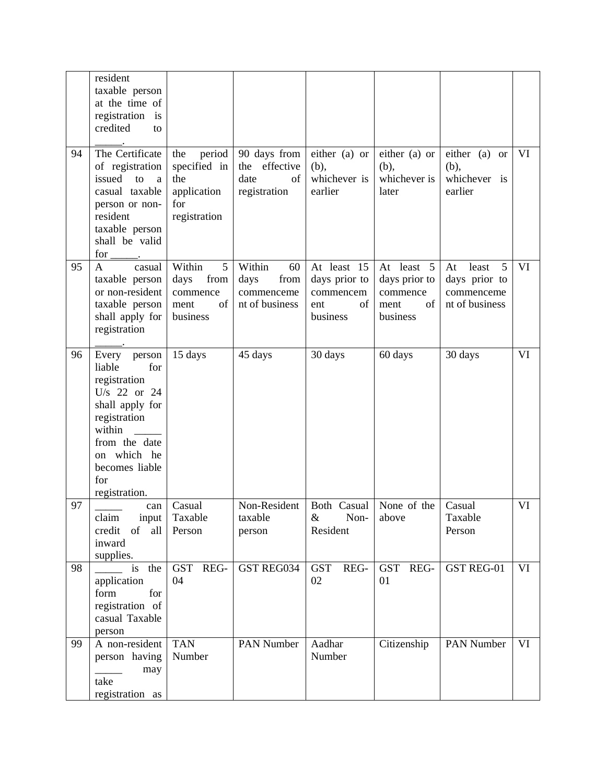|    | resident<br>taxable person<br>at the time of<br>registration is<br>credited<br>to                                                                                                    |                                                                            |                                                              |                                                                    |                                                                   |                                                                   |    |
|----|--------------------------------------------------------------------------------------------------------------------------------------------------------------------------------------|----------------------------------------------------------------------------|--------------------------------------------------------------|--------------------------------------------------------------------|-------------------------------------------------------------------|-------------------------------------------------------------------|----|
| 94 | The Certificate<br>of registration<br>issued<br>to<br>a<br>casual taxable<br>person or non-<br>resident<br>taxable person<br>shall be valid<br>$for \_\_$ .                          | period<br>the<br>specified in<br>the<br>application<br>for<br>registration | 90 days from<br>the effective<br>date<br>of<br>registration  | either (a) or<br>(b),<br>whichever is<br>earlier                   | either (a) or<br>(b),<br>whichever is<br>later                    | either (a) or<br>(b),<br>whichever is<br>earlier                  | VI |
| 95 | casual<br>A<br>taxable person<br>or non-resident<br>taxable person<br>shall apply for<br>registration                                                                                | Within<br>5<br>days<br>from<br>commence<br>of<br>ment<br>business          | Within<br>60<br>from<br>days<br>commenceme<br>nt of business | At least 15<br>days prior to<br>commencem<br>ent<br>of<br>business | At least 5<br>days prior to<br>commence<br>of<br>ment<br>business | 5<br>least<br>At<br>days prior to<br>commenceme<br>nt of business | VI |
| 96 | Every person<br>liable<br>for<br>registration<br>U/s 22 or 24<br>shall apply for<br>registration<br>within<br>from the date<br>on which he<br>becomes liable<br>for<br>registration. | 15 days                                                                    | 45 days                                                      | 30 days                                                            | 60 days                                                           | 30 days                                                           | VI |
| 97 | can<br>claim<br>input<br>credit<br>of<br>all<br>inward<br>supplies.                                                                                                                  | Casual<br>Taxable<br>Person                                                | Non-Resident<br>taxable<br>person                            | Both Casual   None of the<br>$\&$<br>Non-<br>Resident              | above                                                             | Casual<br>Taxable<br>Person                                       | VI |
| 98 | is the<br>application<br>form<br>for<br>registration of<br>casual Taxable<br>person                                                                                                  | GST REG-<br>04                                                             | GST REG034                                                   | <b>GST</b><br>REG-<br>02                                           | REG-<br><b>GST</b><br>01                                          | GST REG-01                                                        | VI |
| 99 | A non-resident<br>person having<br>may<br>take<br>registration as                                                                                                                    | <b>TAN</b><br>Number                                                       | PAN Number                                                   | Aadhar<br>Number                                                   | Citizenship                                                       | <b>PAN Number</b>                                                 | VI |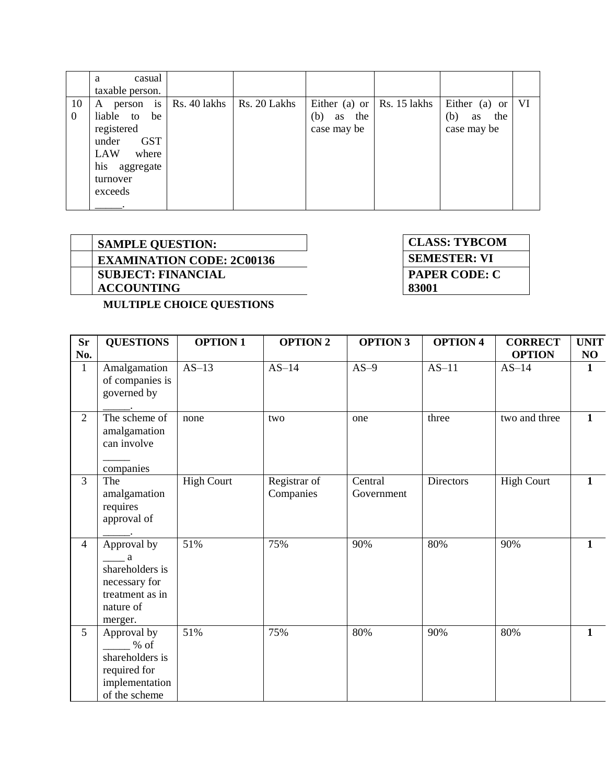|                      | casual<br>a<br>taxable person.                                                                                              |              |              |                                 |                                    |                                                  |     |
|----------------------|-----------------------------------------------------------------------------------------------------------------------------|--------------|--------------|---------------------------------|------------------------------------|--------------------------------------------------|-----|
| 10<br>$\overline{0}$ | A person is<br>liable to<br>be<br>registered<br><b>GST</b><br>under<br>LAW<br>where<br>his aggregate<br>turnover<br>exceeds | Rs. 40 lakhs | Rs. 20 Lakhs | the<br>(b)<br>as<br>case may be | Either (a) or $\vert$ Rs. 15 lakhs | Either (a) or<br>(b)<br>the<br>as<br>case may be | -VI |

| <b>EXAMINATION CODE: 2C00136</b><br><b>SUBJECT: FINANCIAL</b> | <b>SAMPLE QUESTION:</b> |
|---------------------------------------------------------------|-------------------------|
|                                                               |                         |
|                                                               |                         |
|                                                               | <b>ACCOUNTING</b>       |

 $\blacksquare$  **CLASS: TYBCOM EXAMINATION CODE:** 2CODE: **PAPER CODE: C 83001**

**MULTIPLE CHOICE QUESTIONS**

| <b>Sr</b>      | <b>QUESTIONS</b>                                                                                  | <b>OPTION 1</b>   | <b>OPTION 2</b>           | <b>OPTION 3</b>       | <b>OPTION 4</b> | <b>CORRECT</b>    | <b>UNIT</b>  |
|----------------|---------------------------------------------------------------------------------------------------|-------------------|---------------------------|-----------------------|-----------------|-------------------|--------------|
| No.            |                                                                                                   |                   |                           |                       |                 | <b>OPTION</b>     | NO           |
| $\mathbf{1}$   | Amalgamation<br>of companies is<br>governed by                                                    | $AS-13$           | $AS-14$                   | $AS-9$                | $AS-11$         | $AS-14$           | 1            |
| $\overline{2}$ | The scheme of<br>amalgamation<br>can involve<br>companies                                         | none              | two                       | one                   | three           | two and three     | $\mathbf{1}$ |
| $\overline{3}$ | The<br>amalgamation<br>requires<br>approval of                                                    | <b>High Court</b> | Registrar of<br>Companies | Central<br>Government | Directors       | <b>High Court</b> | $\mathbf{1}$ |
| $\overline{4}$ | Approval by<br>a a<br>shareholders is<br>necessary for<br>treatment as in<br>nature of<br>merger. | 51%               | 75%                       | 90%                   | 80%             | 90%               | $\mathbf{1}$ |
| 5              | Approval by<br>$%$ of<br>shareholders is<br>required for<br>implementation<br>of the scheme       | 51%               | 75%                       | 80%                   | 90%             | 80%               | $\mathbf{1}$ |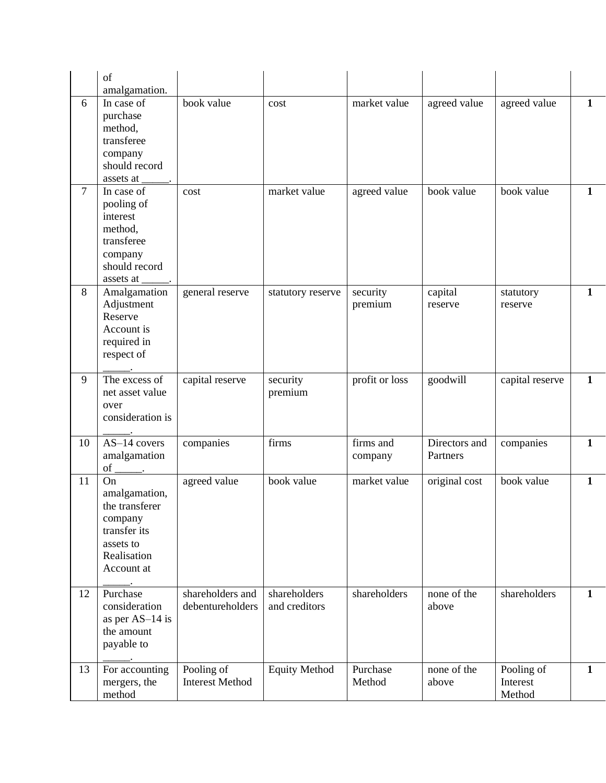|                | of                                                                                                         |                                      |                               |                      |                           |                                  |              |
|----------------|------------------------------------------------------------------------------------------------------------|--------------------------------------|-------------------------------|----------------------|---------------------------|----------------------------------|--------------|
|                | amalgamation.                                                                                              |                                      |                               |                      |                           |                                  |              |
| 6              | In case of<br>purchase<br>method,<br>transferee<br>company<br>should record<br>assets at                   | book value                           | cost                          | market value         | agreed value              | agreed value                     | 1            |
| $\overline{7}$ | In case of<br>pooling of<br>interest<br>method,<br>transferee<br>company<br>should record<br>assets at     | cost                                 | market value                  | agreed value         | book value                | book value                       | 1            |
| 8              | Amalgamation<br>Adjustment<br>Reserve<br>Account is<br>required in<br>respect of                           | general reserve                      | statutory reserve             | security<br>premium  | capital<br>reserve        | statutory<br>reserve             | $\mathbf{1}$ |
| 9              | The excess of<br>net asset value<br>over<br>consideration is                                               | capital reserve                      | security<br>premium           | profit or loss       | goodwill                  | capital reserve                  | 1            |
| 10             | AS-14 covers<br>amalgamation<br>of                                                                         | companies                            | firms                         | firms and<br>company | Directors and<br>Partners | companies                        | 1            |
| 11             | On<br>amalgamation,<br>the transferer<br>company<br>transfer its<br>assets to<br>Realisation<br>Account at | agreed value                         | book value                    | market value         | original cost             | book value                       | 1            |
| 12             | Purchase<br>consideration<br>as per AS-14 is<br>the amount<br>payable to                                   | shareholders and<br>debentureholders | shareholders<br>and creditors | shareholders         | none of the<br>above      | shareholders                     | 1            |
| 13             | For accounting<br>mergers, the<br>method                                                                   | Pooling of<br><b>Interest Method</b> | <b>Equity Method</b>          | Purchase<br>Method   | none of the<br>above      | Pooling of<br>Interest<br>Method | 1            |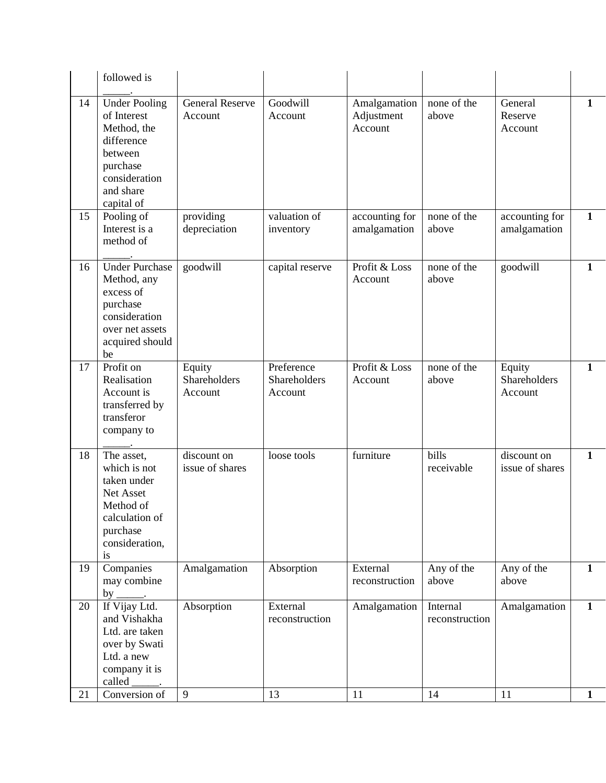|    | followed is                                                                                                                         |                                   |                                       |                                       |                            |                                   |              |
|----|-------------------------------------------------------------------------------------------------------------------------------------|-----------------------------------|---------------------------------------|---------------------------------------|----------------------------|-----------------------------------|--------------|
| 14 | <b>Under Pooling</b><br>of Interest<br>Method, the<br>difference<br>between<br>purchase<br>consideration<br>and share<br>capital of | <b>General Reserve</b><br>Account | Goodwill<br>Account                   | Amalgamation<br>Adjustment<br>Account | none of the<br>above       | General<br>Reserve<br>Account     | $\mathbf{1}$ |
| 15 | Pooling of<br>Interest is a<br>method of                                                                                            | providing<br>depreciation         | valuation of<br>inventory             | accounting for<br>amalgamation        | none of the<br>above       | accounting for<br>amalgamation    | $\mathbf{1}$ |
| 16 | <b>Under Purchase</b><br>Method, any<br>excess of<br>purchase<br>consideration<br>over net assets<br>acquired should<br>be          | goodwill                          | capital reserve                       | Profit & Loss<br>Account              | none of the<br>above       | goodwill                          | $\mathbf{1}$ |
| 17 | Profit on<br>Realisation<br>Account is<br>transferred by<br>transferor<br>company to                                                | Equity<br>Shareholders<br>Account | Preference<br>Shareholders<br>Account | Profit & Loss<br>Account              | none of the<br>above       | Equity<br>Shareholders<br>Account | $\mathbf{1}$ |
| 18 | The asset,<br>which is not<br>taken under<br>Net Asset<br>Method of<br>calculation of<br>purchase<br>consideration,<br>is           | discount on<br>issue of shares    | loose tools                           | furniture                             | bills<br>receivable        | discount on<br>issue of shares    | $\mathbf{1}$ |
| 19 | Companies<br>may combine<br>by<br>$\overline{\phantom{a}}$                                                                          | Amalgamation                      | Absorption                            | External<br>reconstruction            | Any of the<br>above        | Any of the<br>above               | $\mathbf{1}$ |
| 20 | If Vijay Ltd.<br>and Vishakha<br>Ltd. are taken<br>over by Swati<br>Ltd. a new<br>company it is<br>called                           | Absorption                        | External<br>reconstruction            | Amalgamation                          | Internal<br>reconstruction | Amalgamation                      | $\mathbf{1}$ |
| 21 | Conversion of                                                                                                                       | 9                                 | 13                                    | 11                                    | 14                         | 11                                | $\mathbf{1}$ |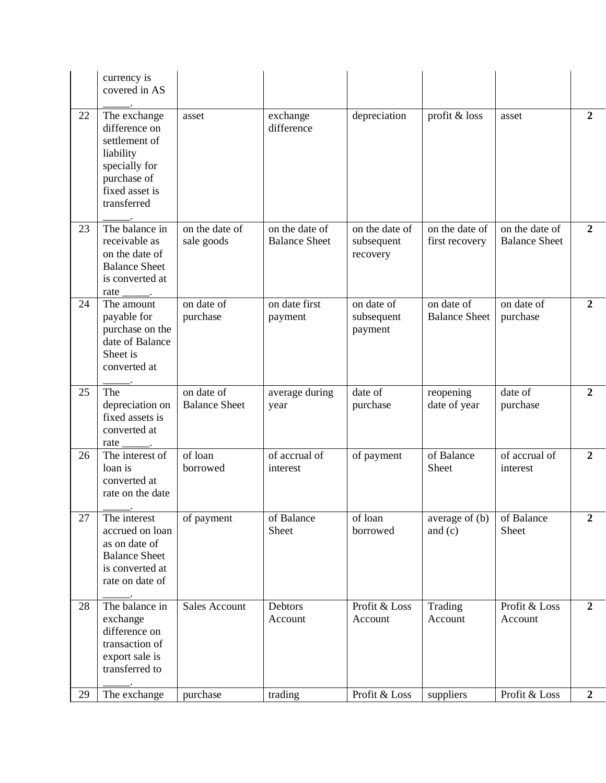|    | currency is<br>covered in AS                                                                                                 |                                    |                                        |                                          |                                    |                                        |                  |
|----|------------------------------------------------------------------------------------------------------------------------------|------------------------------------|----------------------------------------|------------------------------------------|------------------------------------|----------------------------------------|------------------|
| 22 | The exchange<br>difference on<br>settlement of<br>liability<br>specially for<br>purchase of<br>fixed asset is<br>transferred | asset                              | exchange<br>difference                 | depreciation                             | profit & loss                      | asset                                  | $\overline{2}$   |
| 23 | The balance in<br>receivable as<br>on the date of<br><b>Balance Sheet</b><br>is converted at<br>rate                         | on the date of<br>sale goods       | on the date of<br><b>Balance Sheet</b> | on the date of<br>subsequent<br>recovery | on the date of<br>first recovery   | on the date of<br><b>Balance Sheet</b> | $\mathbf{2}$     |
| 24 | The amount<br>payable for<br>purchase on the<br>date of Balance<br>Sheet is<br>converted at                                  | on date of<br>purchase             | on date first<br>payment               | on date of<br>subsequent<br>payment      | on date of<br><b>Balance Sheet</b> | on date of<br>purchase                 | $\overline{2}$   |
| 25 | The<br>depreciation on<br>fixed assets is<br>converted at                                                                    | on date of<br><b>Balance Sheet</b> | average during<br>year                 | date of<br>purchase                      | reopening<br>date of year          | date of<br>purchase                    | $\mathbf{2}$     |
|    | rate<br>$\overline{\phantom{a}}$                                                                                             |                                    |                                        |                                          |                                    |                                        |                  |
| 26 | The interest of<br>loan is<br>converted at<br>rate on the date                                                               | of loan<br>borrowed                | of accrual of<br>interest              | of payment                               | of Balance<br>Sheet                | of accrual of<br>interest              | 2                |
| 27 | The interest<br>accrued on loan<br>as on date of<br><b>Balance Sheet</b><br>is converted at<br>rate on date of               | of payment                         | of Balance<br><b>Sheet</b>             | of loan<br>borrowed                      | average of (b)<br>and $(c)$        | of Balance<br>Sheet                    | $\boldsymbol{2}$ |
| 28 | The balance in<br>exchange<br>difference on<br>transaction of<br>export sale is<br>transferred to                            | <b>Sales Account</b>               | Debtors<br>Account                     | Profit & Loss<br>Account                 | Trading<br>Account                 | Profit & Loss<br>Account               | $\overline{2}$   |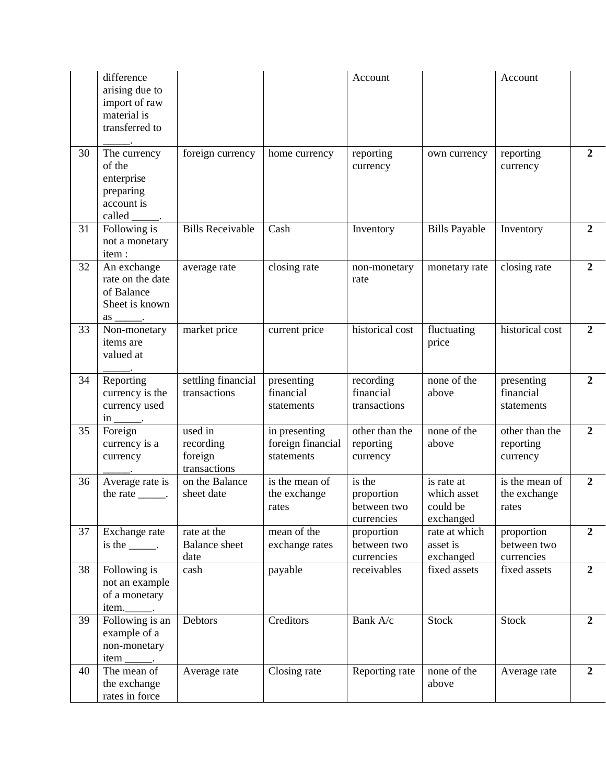|    | difference<br>arising due to<br>import of raw<br>material is<br>transferred to                       |                                                 |                                                  | Account                                           |                                                    | Account                                 |                |
|----|------------------------------------------------------------------------------------------------------|-------------------------------------------------|--------------------------------------------------|---------------------------------------------------|----------------------------------------------------|-----------------------------------------|----------------|
| 30 | The currency<br>of the<br>enterprise<br>preparing<br>account is<br>called                            | foreign currency                                | home currency                                    | reporting<br>currency                             | own currency                                       | reporting<br>currency                   | $\overline{2}$ |
| 31 | Following is<br>not a monetary<br>item:                                                              | <b>Bills Receivable</b>                         | Cash                                             | Inventory                                         | <b>Bills Payable</b>                               | Inventory                               | $\overline{2}$ |
| 32 | An exchange<br>rate on the date<br>of Balance<br>Sheet is known<br>$\frac{as \_\_\_\_\_}{\_\_\_\_}.$ | average rate                                    | closing rate                                     | non-monetary<br>rate                              | monetary rate                                      | closing rate                            | $\overline{2}$ |
| 33 | Non-monetary<br>items are<br>valued at                                                               | market price                                    | current price                                    | historical cost                                   | fluctuating<br>price                               | historical cost                         | $\overline{2}$ |
| 34 | Reporting<br>currency is the<br>currency used<br>$\text{in}$ _______.                                | settling financial<br>transactions              | presenting<br>financial<br>statements            | recording<br>financial<br>transactions            | none of the<br>above                               | presenting<br>financial<br>statements   | $\overline{2}$ |
| 35 | Foreign<br>currency is a<br>currency                                                                 | used in<br>recording<br>foreign<br>transactions | in presenting<br>foreign financial<br>statements | other than the<br>reporting<br>currency           | none of the<br>above                               | other than the<br>reporting<br>currency | $\overline{2}$ |
| 36 | Average rate is<br>the rate $\_\_\_\_\$ .                                                            | on the Balance<br>sheet date                    | is the mean of<br>the exchange<br>rates          | is the<br>proportion<br>between two<br>currencies | is rate at<br>which asset<br>could be<br>exchanged | is the mean of<br>the exchange<br>rates | $\overline{2}$ |
| 37 | Exchange rate<br>is the $\_\_\_\_\$ .                                                                | rate at the<br><b>Balance</b> sheet<br>date     | mean of the<br>exchange rates                    | proportion<br>between two<br>currencies           | rate at which<br>asset is<br>exchanged             | proportion<br>between two<br>currencies | $\overline{2}$ |
| 38 | Following is<br>not an example<br>of a monetary<br>item._______.                                     | cash                                            | payable                                          | receivables                                       | fixed assets                                       | fixed assets                            | $\overline{2}$ |
| 39 | Following is an<br>example of a<br>non-monetary<br>$item \_\_$ .                                     | Debtors                                         | Creditors                                        | Bank A/c                                          | <b>Stock</b>                                       | <b>Stock</b>                            | $\overline{2}$ |
| 40 | The mean of<br>the exchange<br>rates in force                                                        | Average rate                                    | Closing rate                                     | Reporting rate                                    | none of the<br>above                               | Average rate                            | $\overline{2}$ |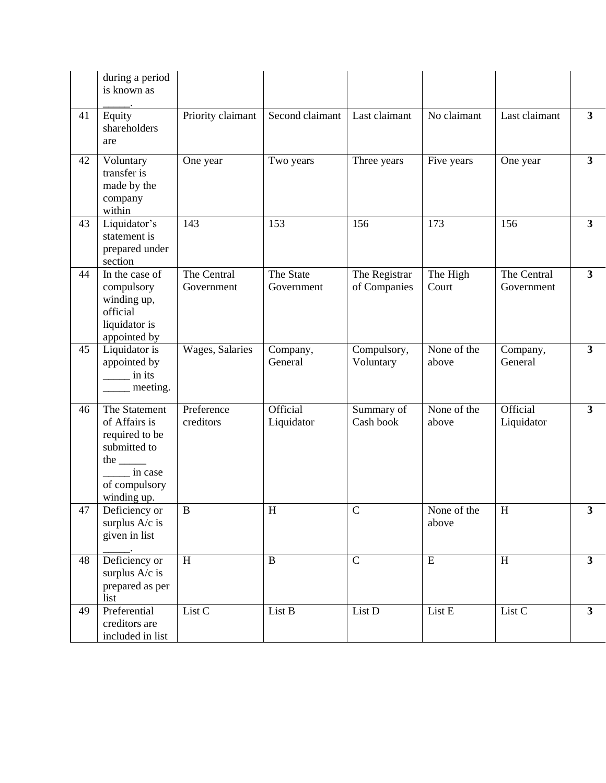|    | during a period<br>is known as                                                                                            |                           |                         |                               |                      |                           |                |
|----|---------------------------------------------------------------------------------------------------------------------------|---------------------------|-------------------------|-------------------------------|----------------------|---------------------------|----------------|
| 41 | Equity<br>shareholders<br>are                                                                                             | Priority claimant         | Second claimant         | Last claimant                 | No claimant          | Last claimant             | 3 <sup>1</sup> |
| 42 | Voluntary<br>transfer is<br>made by the<br>company<br>within                                                              | One year                  | Two years               | Three years                   | Five years           | One year                  | 3 <sup>1</sup> |
| 43 | Liquidator's<br>statement is<br>prepared under<br>section                                                                 | 143                       | 153                     | 156                           | 173                  | 156                       | 3 <sup>1</sup> |
| 44 | In the case of<br>compulsory<br>winding up,<br>official<br>liquidator is<br>appointed by                                  | The Central<br>Government | The State<br>Government | The Registrar<br>of Companies | The High<br>Court    | The Central<br>Government | 3 <sup>1</sup> |
| 45 | Liquidator is<br>appointed by<br>in its<br>meeting.                                                                       | Wages, Salaries           | Company,<br>General     | Compulsory,<br>Voluntary      | None of the<br>above | Company,<br>General       | $3^{\circ}$    |
| 46 | The Statement<br>of Affairs is<br>required to be<br>submitted to<br>the $\_\_$<br>in case<br>of compulsory<br>winding up. | Preference<br>creditors   | Official<br>Liquidator  | Summary of<br>Cash book       | None of the<br>above | Official<br>Liquidator    | 3 <sup>1</sup> |
| 47 | Deficiency or<br>surplus A/c is<br>given in list                                                                          | B                         | H                       | $\mathbf C$                   | None of the<br>above | H                         | 3              |
| 48 | Deficiency or<br>surplus A/c is<br>prepared as per<br>list                                                                | $\boldsymbol{\mathrm{H}}$ | $\, {\bf B}$            | $\mathcal{C}$                 | ${\bf E}$            | H                         | $\mathbf{3}$   |
| 49 | Preferential<br>creditors are<br>included in list                                                                         | List C                    | List B                  | List D                        | List E               | List C                    | $\mathbf{3}$   |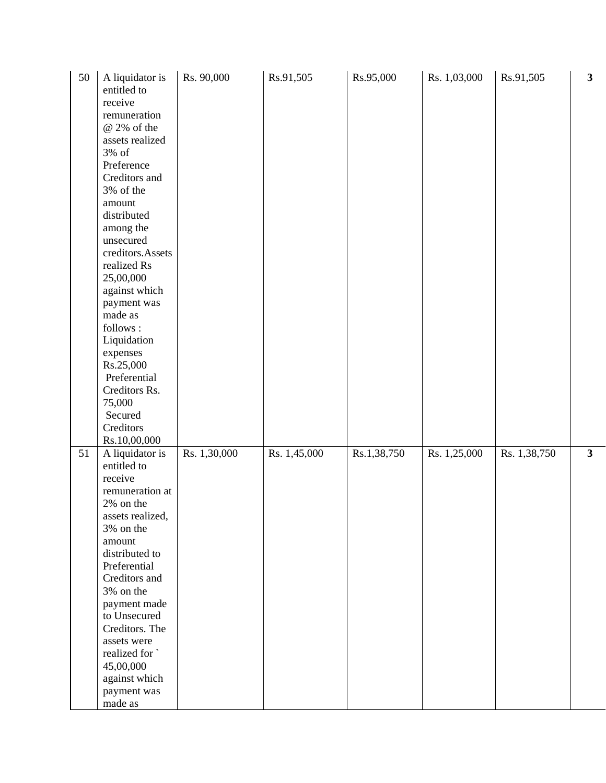| 50 | A liquidator is<br>entitled to<br>receive<br>remuneration<br>@ 2% of the<br>assets realized<br>3% of<br>Preference<br>Creditors and<br>3% of the<br>amount<br>distributed<br>among the<br>unsecured<br>creditors.Assets<br>realized Rs<br>25,00,000<br>against which<br>payment was<br>made as<br>follows:<br>Liquidation<br>expenses<br>Rs.25,000<br>Preferential<br>Creditors Rs.<br>75,000<br>Secured<br>Creditors<br>Rs.10,00,000 | Rs. 90,000   | Rs.91,505    | Rs.95,000   | Rs. 1,03,000 | Rs.91,505    | $\mathbf{3}$ |
|----|---------------------------------------------------------------------------------------------------------------------------------------------------------------------------------------------------------------------------------------------------------------------------------------------------------------------------------------------------------------------------------------------------------------------------------------|--------------|--------------|-------------|--------------|--------------|--------------|
| 51 | A liquidator is<br>entitled to<br>receive<br>remuneration at<br>2% on the<br>assets realized,<br>3% on the<br>amount<br>distributed to<br>Preferential<br>Creditors and<br>3% on the<br>payment made<br>to Unsecured<br>Creditors. The<br>assets were<br>realized for<br>45,00,000<br>against which<br>payment was<br>made as                                                                                                         | Rs. 1,30,000 | Rs. 1,45,000 | Rs.1,38,750 | Rs. 1,25,000 | Rs. 1,38,750 | $\mathbf{3}$ |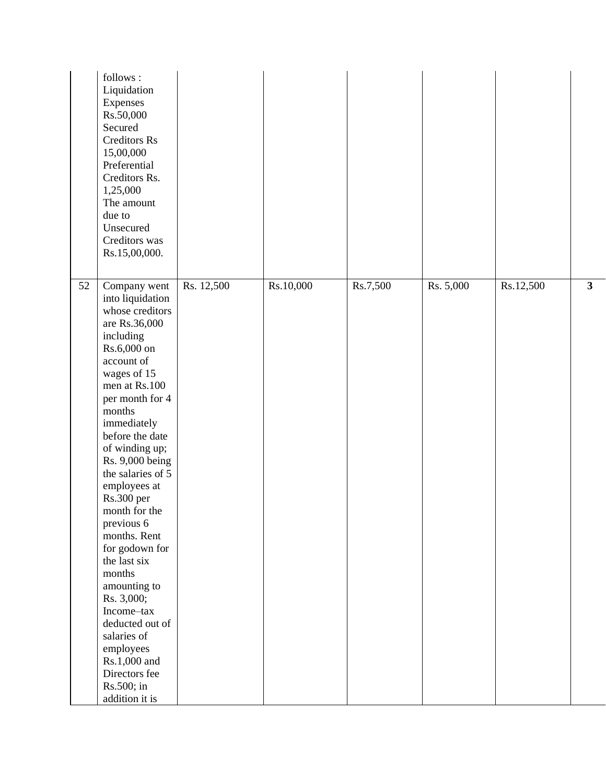|    | follows:<br>Liquidation<br>Expenses<br>Rs.50,000<br>Secured<br><b>Creditors Rs</b><br>15,00,000<br>Preferential<br>Creditors Rs.<br>1,25,000<br>The amount<br>due to<br>Unsecured<br>Creditors was<br>Rs.15,00,000.                                                                                                                                                                                                                                                                                                                                          |            |           |          |           |           |   |
|----|--------------------------------------------------------------------------------------------------------------------------------------------------------------------------------------------------------------------------------------------------------------------------------------------------------------------------------------------------------------------------------------------------------------------------------------------------------------------------------------------------------------------------------------------------------------|------------|-----------|----------|-----------|-----------|---|
| 52 | Company went<br>into liquidation<br>whose creditors<br>are Rs.36,000<br>including<br>Rs.6,000 on<br>account of<br>wages of 15<br>men at Rs.100<br>per month for 4<br>months<br>immediately<br>before the date<br>of winding up;<br>Rs. 9,000 being<br>the salaries of 5<br>employees at<br>Rs.300 per<br>month for the<br>previous 6<br>months. Rent<br>for godown for<br>the last six<br>months<br>amounting to<br>Rs. 3,000;<br>Income-tax<br>deducted out of<br>salaries of<br>employees<br>Rs.1,000 and<br>Directors fee<br>Rs.500; in<br>addition it is | Rs. 12,500 | Rs.10,000 | Rs.7,500 | Rs. 5,000 | Rs.12,500 | 3 |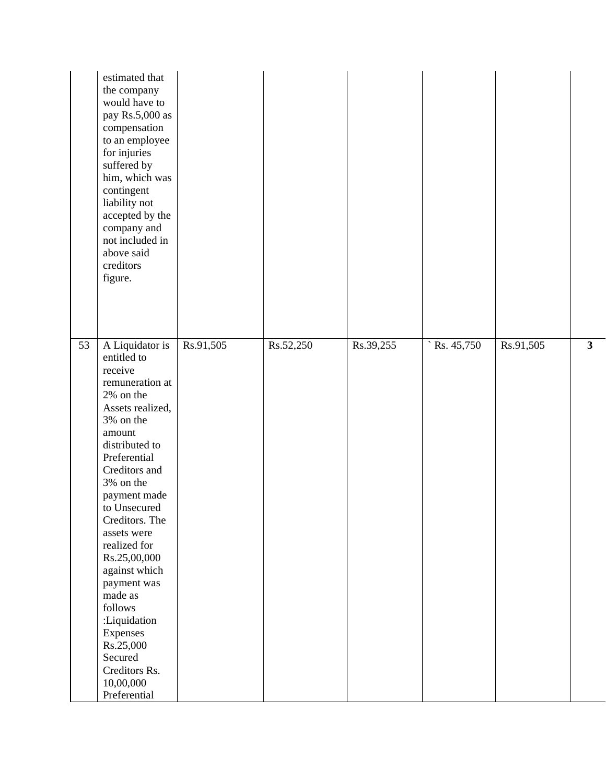|    | estimated that<br>the company<br>would have to<br>pay Rs.5,000 as<br>compensation<br>to an employee<br>for injuries<br>suffered by<br>him, which was<br>contingent<br>liability not<br>accepted by the<br>company and<br>not included in<br>above said<br>creditors<br>figure.                                                                                                                                                                |           |           |           |                     |           |   |
|----|-----------------------------------------------------------------------------------------------------------------------------------------------------------------------------------------------------------------------------------------------------------------------------------------------------------------------------------------------------------------------------------------------------------------------------------------------|-----------|-----------|-----------|---------------------|-----------|---|
| 53 | A Liquidator is<br>entitled to<br>receive<br>remuneration at<br>2% on the<br>Assets realized,<br>3% on the<br>amount<br>distributed to<br>Preferential<br>Creditors and<br>3% on the<br>payment made<br>to Unsecured<br>Creditors. The<br>assets were<br>realized for<br>Rs.25,00,000<br>against which<br>payment was<br>made as<br>follows<br>:Liquidation<br>Expenses<br>Rs.25,000<br>Secured<br>Creditors Rs.<br>10,00,000<br>Preferential | Rs.91,505 | Rs.52,250 | Rs.39,255 | $\hat{}$ Rs. 45,750 | Rs.91,505 | 3 |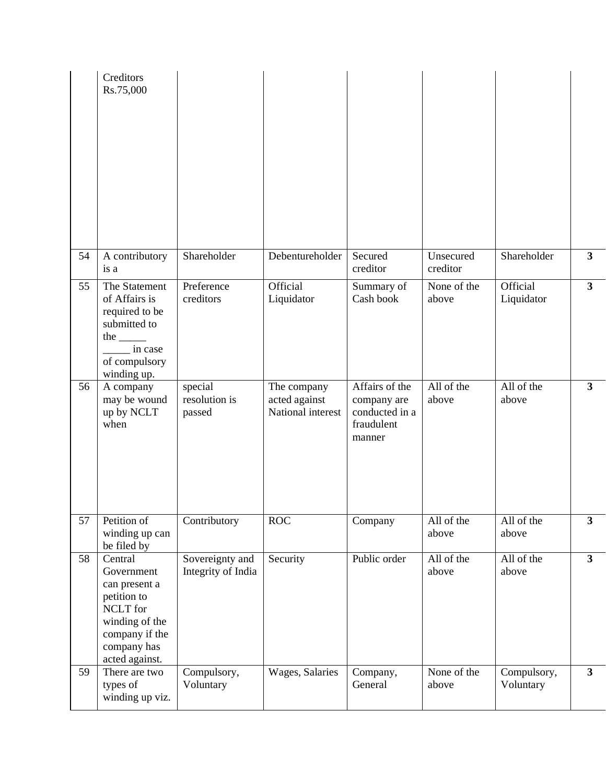|    | Creditors<br>Rs.75,000                                                                                                                 |                                       |                                                   |                                                                         |                       |                          |                |
|----|----------------------------------------------------------------------------------------------------------------------------------------|---------------------------------------|---------------------------------------------------|-------------------------------------------------------------------------|-----------------------|--------------------------|----------------|
| 54 | A contributory<br>is a                                                                                                                 | Shareholder                           | Debentureholder                                   | Secured<br>creditor                                                     | Unsecured<br>creditor | Shareholder              | 3 <sup>1</sup> |
| 55 | The Statement<br>of Affairs is<br>required to be<br>submitted to<br>the $\_\_$<br>in case<br>of compulsory<br>winding up.              | Preference<br>creditors               | Official<br>Liquidator                            | Summary of<br>Cash book                                                 | None of the<br>above  | Official<br>Liquidator   | $\mathbf{3}$   |
| 56 | A company<br>may be wound<br>up by NCLT<br>when                                                                                        | special<br>resolution is<br>passed    | The company<br>acted against<br>National interest | Affairs of the<br>company are<br>conducted in a<br>fraudulent<br>manner | All of the<br>above   | All of the<br>above      | 3 <sup>1</sup> |
| 57 | Petition of<br>winding up can<br>be filed by                                                                                           | Contributory                          | ROC                                               | Company                                                                 | All of the<br>above   | All of the<br>above      | 3 <sup>1</sup> |
| 58 | Central<br>Government<br>can present a<br>petition to<br>NCLT for<br>winding of the<br>company if the<br>company has<br>acted against. | Sovereignty and<br>Integrity of India | Security                                          | Public order                                                            | All of the<br>above   | All of the<br>above      | 3 <sup>1</sup> |
| 59 | There are two<br>types of<br>winding up viz.                                                                                           | Compulsory,<br>Voluntary              | Wages, Salaries                                   | Company,<br>General                                                     | None of the<br>above  | Compulsory,<br>Voluntary | 3 <sup>1</sup> |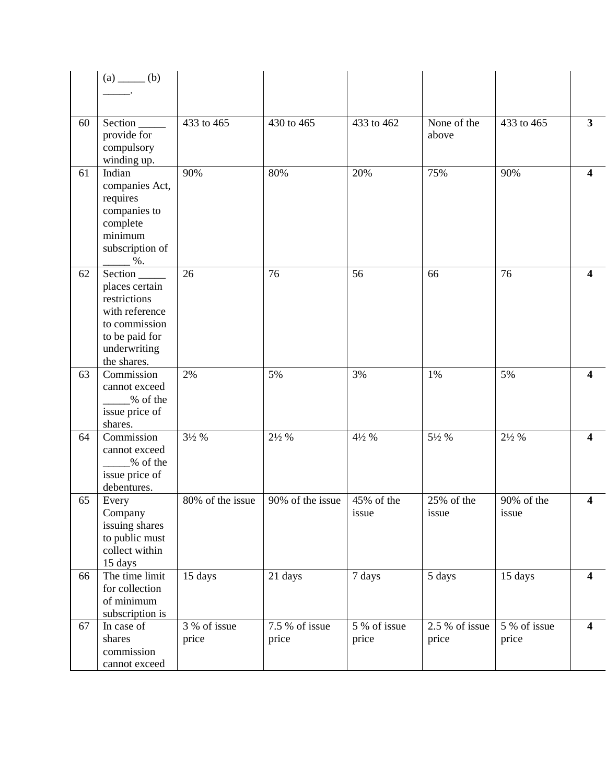|    | $(a)$ (b)                                                                                                                      |                                    |                         |                       |                         |                       |                |
|----|--------------------------------------------------------------------------------------------------------------------------------|------------------------------------|-------------------------|-----------------------|-------------------------|-----------------------|----------------|
|    |                                                                                                                                |                                    |                         |                       |                         |                       |                |
| 60 | provide for<br>compulsory<br>winding up.                                                                                       | 433 to 465                         | 430 to 465              | 433 to 462            | None of the<br>above    | 433 to 465            | $\overline{3}$ |
| 61 | Indian<br>companies Act,<br>requires<br>companies to<br>complete<br>minimum<br>subscription of<br>$\%$ .                       | 90%                                | 80%                     | 20%                   | 75%                     | 90%                   | 4              |
| 62 | Section_<br>places certain<br>restrictions<br>with reference<br>to commission<br>to be paid for<br>underwriting<br>the shares. | 26                                 | 76                      | 56                    | 66                      | 76                    | 4              |
| 63 | Commission<br>cannot exceed<br>% of the<br>issue price of<br>shares.                                                           | 2%                                 | 5%                      | 3%                    | 1%                      | 5%                    | 4              |
| 64 | Commission<br>cannot exceed<br>% of the<br>issue price of<br>debentures.                                                       | $3\frac{1}{2}$ %                   | $2\frac{1}{2}$ %        | $4\frac{1}{2}$ %      | 51/2 %                  | $2\frac{1}{2}$ %      | 4              |
| 65 | Every<br>Company<br>issuing shares<br>to public must<br>collect within<br>15 days                                              | 80% of the issue                   | 90% of the issue        | 45% of the<br>issue   | 25% of the<br>issue     | 90% of the<br>issue   | 4              |
| 66 | The time limit<br>for collection<br>of minimum<br>subscription is                                                              | 15 days                            | 21 days                 | 7 days                | 5 days                  | 15 days               | 4              |
| 67 | In case of<br>shares<br>commission<br>cannot exceed                                                                            | $\overline{3\%}$ of issue<br>price | 7.5 % of issue<br>price | 5 % of issue<br>price | 2.5 % of issue<br>price | 5 % of issue<br>price | 4              |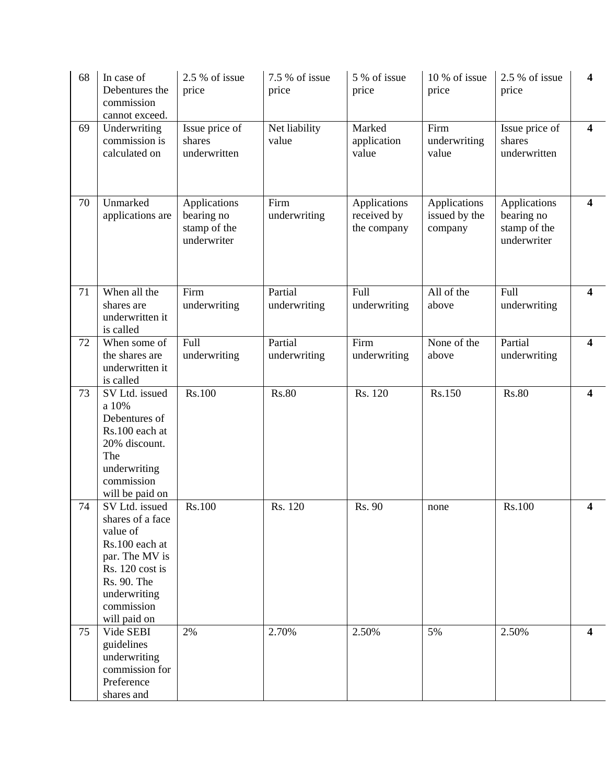| 68 | In case of<br>Debentures the<br>commission<br>cannot exceed.                                                                                                       | 2.5 % of issue<br>price                                   | 7.5 % of issue<br>price | 5 % of issue<br>price                      | 10 % of issue<br>price                   | 2.5 % of issue<br>price                                   | 4                       |
|----|--------------------------------------------------------------------------------------------------------------------------------------------------------------------|-----------------------------------------------------------|-------------------------|--------------------------------------------|------------------------------------------|-----------------------------------------------------------|-------------------------|
| 69 | Underwriting<br>commission is<br>calculated on                                                                                                                     | Issue price of<br>shares<br>underwritten                  | Net liability<br>value  | Marked<br>application<br>value             | Firm<br>underwriting<br>value            | Issue price of<br>shares<br>underwritten                  | 4                       |
| 70 | Unmarked<br>applications are                                                                                                                                       | Applications<br>bearing no<br>stamp of the<br>underwriter | Firm<br>underwriting    | Applications<br>received by<br>the company | Applications<br>issued by the<br>company | Applications<br>bearing no<br>stamp of the<br>underwriter | 4                       |
| 71 | When all the<br>shares are<br>underwritten it<br>is called                                                                                                         | Firm<br>underwriting                                      | Partial<br>underwriting | Full<br>underwriting                       | All of the<br>above                      | Full<br>underwriting                                      | $\overline{\mathbf{4}}$ |
| 72 | When some of<br>the shares are<br>underwritten it<br>is called                                                                                                     | Full<br>underwriting                                      | Partial<br>underwriting | Firm<br>underwriting                       | None of the<br>above                     | Partial<br>underwriting                                   | $\overline{\mathbf{4}}$ |
| 73 | SV Ltd. issued<br>a 10%<br>Debentures of<br>Rs.100 each at<br>20% discount.<br>The<br>underwriting<br>commission<br>will be paid on                                | Rs.100                                                    | <b>Rs.80</b>            | Rs. 120                                    | Rs.150                                   | <b>Rs.80</b>                                              | 4                       |
| 74 | SV Ltd. issued<br>shares of a face<br>value of<br>Rs.100 each at<br>par. The MV is<br>Rs. 120 cost is<br>Rs. 90. The<br>underwriting<br>commission<br>will paid on | Rs.100                                                    | Rs. 120                 | Rs. 90                                     | none                                     | Rs.100                                                    | $\overline{\mathbf{4}}$ |
| 75 | Vide SEBI<br>guidelines<br>underwriting<br>commission for<br>Preference<br>shares and                                                                              | 2%                                                        | 2.70%                   | 2.50%                                      | 5%                                       | 2.50%                                                     | 4                       |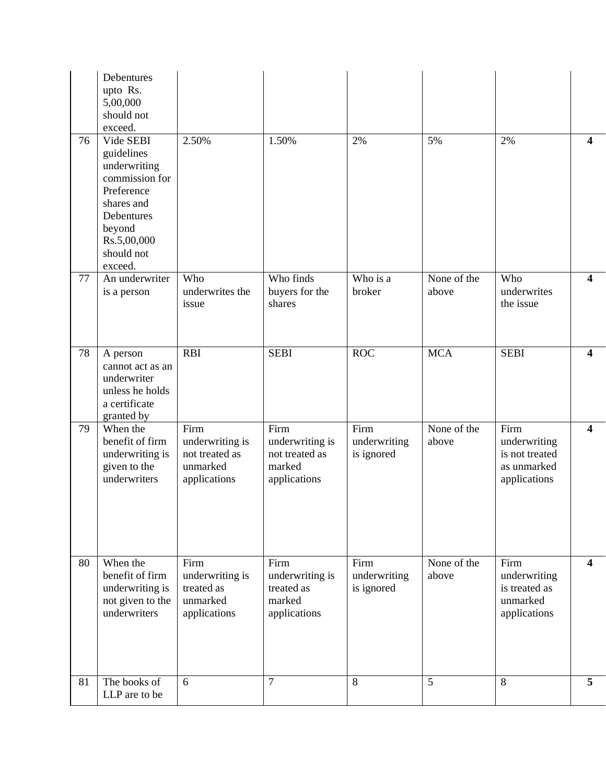|    | Debentures<br>upto Rs.<br>5,00,000<br>should not<br>exceed.                                                                                           |                                                                       |                                                                     |                                    |                      |                                                                       |                         |
|----|-------------------------------------------------------------------------------------------------------------------------------------------------------|-----------------------------------------------------------------------|---------------------------------------------------------------------|------------------------------------|----------------------|-----------------------------------------------------------------------|-------------------------|
| 76 | Vide SEBI<br>guidelines<br>underwriting<br>commission for<br>Preference<br>shares and<br>Debentures<br>beyond<br>Rs.5,00,000<br>should not<br>exceed. | 2.50%                                                                 | 1.50%                                                               | 2%                                 | 5%                   | 2%                                                                    | 4                       |
| 77 | An underwriter<br>is a person                                                                                                                         | Who<br>underwrites the<br>issue                                       | Who finds<br>buyers for the<br>shares                               | Who is a<br>broker                 | None of the<br>above | Who<br>underwrites<br>the issue                                       | 4                       |
| 78 | A person<br>cannot act as an<br>underwriter<br>unless he holds<br>a certificate<br>granted by                                                         | <b>RBI</b>                                                            | <b>SEBI</b>                                                         | <b>ROC</b>                         | <b>MCA</b>           | <b>SEBI</b>                                                           | $\overline{\mathbf{4}}$ |
| 79 | When the<br>benefit of firm<br>underwriting is<br>given to the<br>underwriters                                                                        | Firm<br>underwriting is<br>not treated as<br>unmarked<br>applications | Firm<br>underwriting is<br>not treated as<br>marked<br>applications | Firm<br>underwriting<br>is ignored | None of the<br>above | Firm<br>underwriting<br>is not treated<br>as unmarked<br>applications | $\overline{\mathbf{4}}$ |
| 80 | When the<br>benefit of firm<br>underwriting is<br>not given to the<br>underwriters                                                                    | Firm<br>underwriting is<br>treated as<br>unmarked<br>applications     | Firm<br>underwriting is<br>treated as<br>marked<br>applications     | Firm<br>underwriting<br>is ignored | None of the<br>above | Firm<br>underwriting<br>is treated as<br>unmarked<br>applications     | 4                       |
| 81 | The books of<br>LLP are to be                                                                                                                         | 6                                                                     | $\overline{7}$                                                      | 8                                  | 5                    | 8                                                                     | 5                       |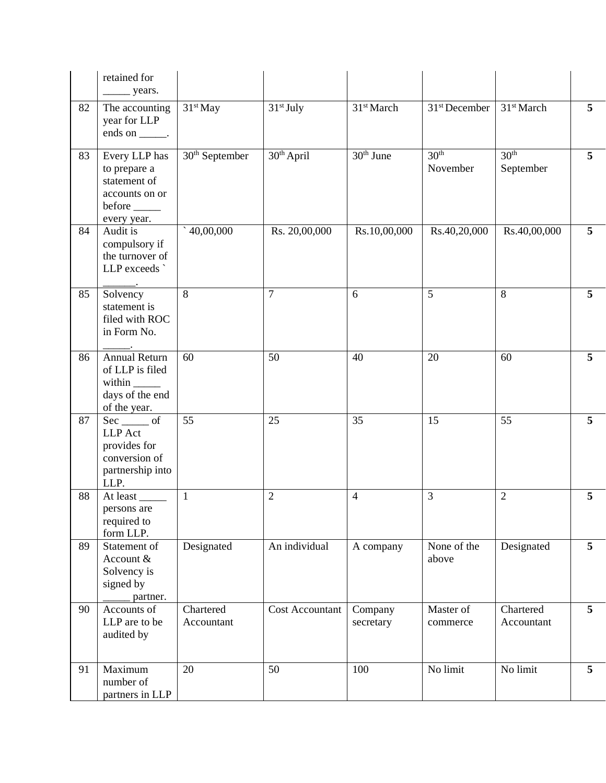|    | retained for                                                                                      |                         |                        |                        |                              |                               |                 |
|----|---------------------------------------------------------------------------------------------------|-------------------------|------------------------|------------------------|------------------------------|-------------------------------|-----------------|
| 82 | The accounting<br>year for LLP<br>ends on $\_\_\_\$ .                                             | $31st$ May              | $31st$ July            | 31 <sup>st</sup> March | 31 <sup>st</sup> December    | 31 <sup>st</sup> March        | $5\overline{)}$ |
| 83 | Every LLP has<br>to prepare a<br>statement of<br>accounts on or<br>before $\_\_$<br>every year.   | $30th$ September        | 30 <sup>th</sup> April | 30 <sup>th</sup> June  | 30 <sup>th</sup><br>November | 30 <sup>th</sup><br>September | $5\overline{)}$ |
| 84 | Audit is<br>compulsory if<br>the turnover of<br>LLP exceeds                                       | $^{\circ}40,00,000$     | Rs. 20,00,000          | Rs.10,00,000           | Rs.40,20,000                 | Rs.40,00,000                  | 5               |
| 85 | Solvency<br>statement is<br>filed with ROC<br>in Form No.                                         | 8                       | $\overline{7}$         | 6                      | 5                            | 8                             | 5               |
| 86 | <b>Annual Return</b><br>of LLP is filed<br>within ________<br>days of the end<br>of the year.     | 60                      | 50                     | 40                     | 20                           | 60                            | $5\overline{)}$ |
| 87 | $Sec$ <sub>_____</sub> of<br>LLP Act<br>provides for<br>conversion of<br>partnership into<br>LLP. | 55                      | 25                     | 35                     | 15                           | 55                            | 5               |
| 88 | At least<br>persons are<br>required to<br>form LLP.                                               | $\mathbf{1}$            | $\overline{2}$         | $\overline{4}$         | 3                            | $\overline{2}$                | 5               |
| 89 | Statement of<br>Account &<br>Solvency is<br>signed by<br>partner.                                 | Designated              | An individual          | A company              | None of the<br>above         | Designated                    | 5               |
| 90 | Accounts of<br>LLP are to be<br>audited by                                                        | Chartered<br>Accountant | <b>Cost Accountant</b> | Company<br>secretary   | Master of<br>commerce        | Chartered<br>Accountant       | 5 <sup>5</sup>  |
| 91 | Maximum<br>number of<br>partners in LLP                                                           | 20                      | 50                     | 100                    | No limit                     | No limit                      | 5 <sup>5</sup>  |